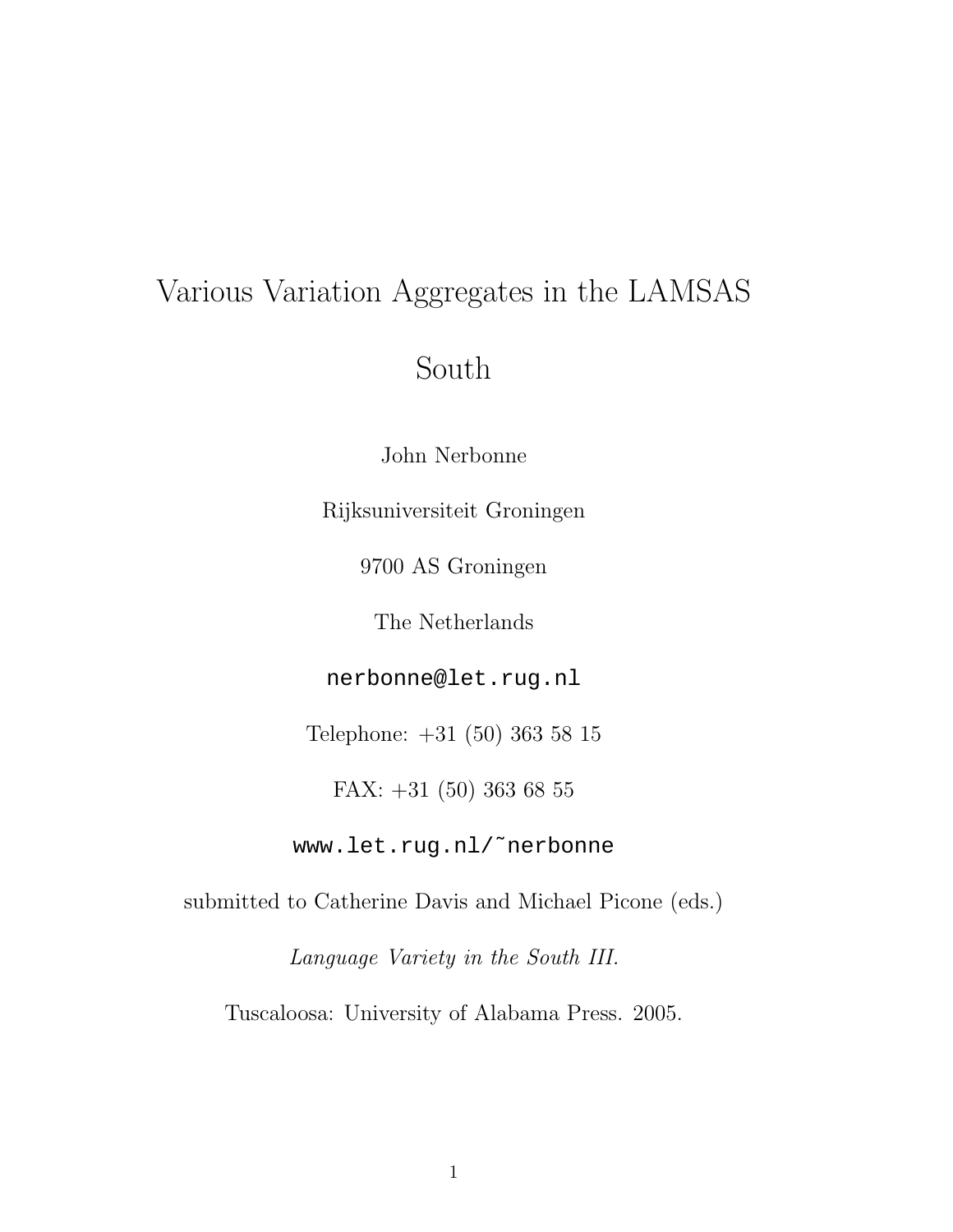# Various Variation Aggregates in the LAMSAS

## South

John Nerbonne

Rijksuniversiteit Groningen

9700 AS Groningen

The Netherlands

nerbonne@let.rug.nl

Telephone: +31 (50) 363 58 15

FAX: +31 (50) 363 68 55

www.let.rug.nl/˜nerbonne

submitted to Catherine Davis and Michael Picone (eds.)

Language Variety in the South III.

Tuscaloosa: University of Alabama Press. 2005.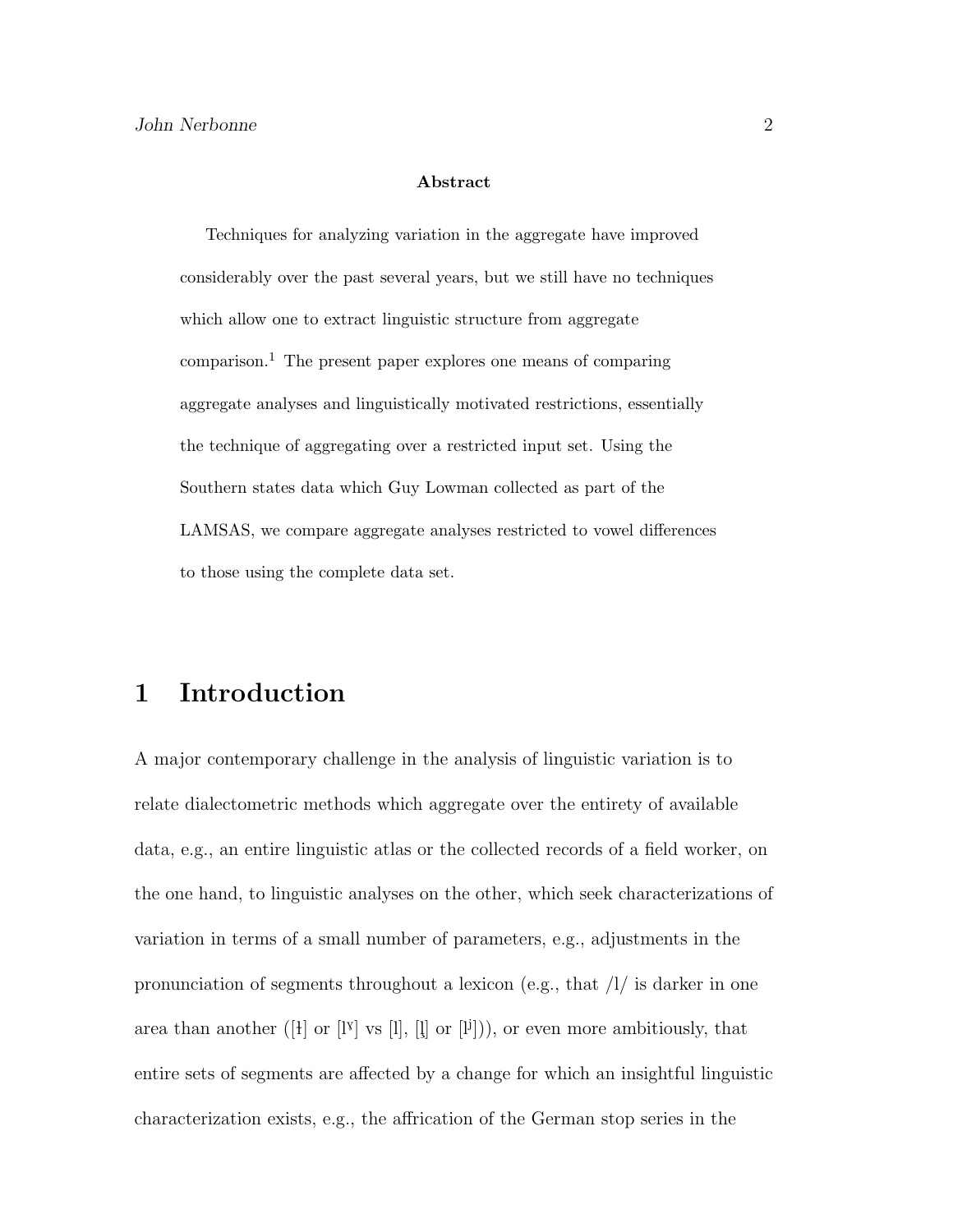#### Abstract

Techniques for analyzing variation in the aggregate have improved considerably over the past several years, but we still have no techniques which allow one to extract linguistic structure from aggregate  $comparison.<sup>1</sup>$  The present paper explores one means of comparing aggregate analyses and linguistically motivated restrictions, essentially the technique of aggregating over a restricted input set. Using the Southern states data which Guy Lowman collected as part of the LAMSAS, we compare aggregate analyses restricted to vowel differences to those using the complete data set.

## 1 Introduction

A major contemporary challenge in the analysis of linguistic variation is to relate dialectometric methods which aggregate over the entirety of available data, e.g., an entire linguistic atlas or the collected records of a field worker, on the one hand, to linguistic analyses on the other, which seek characterizations of variation in terms of a small number of parameters, e.g., adjustments in the pronunciation of segments throughout a lexicon (e.g., that  $\frac{1}{i}$  is darker in one area than another ([iv] or [IV] vs [l], [l] or [IV])), or even more ambitiously, that entire sets of segments are affected by a change for which an insightful linguistic characterization exists, e.g., the affrication of the German stop series in the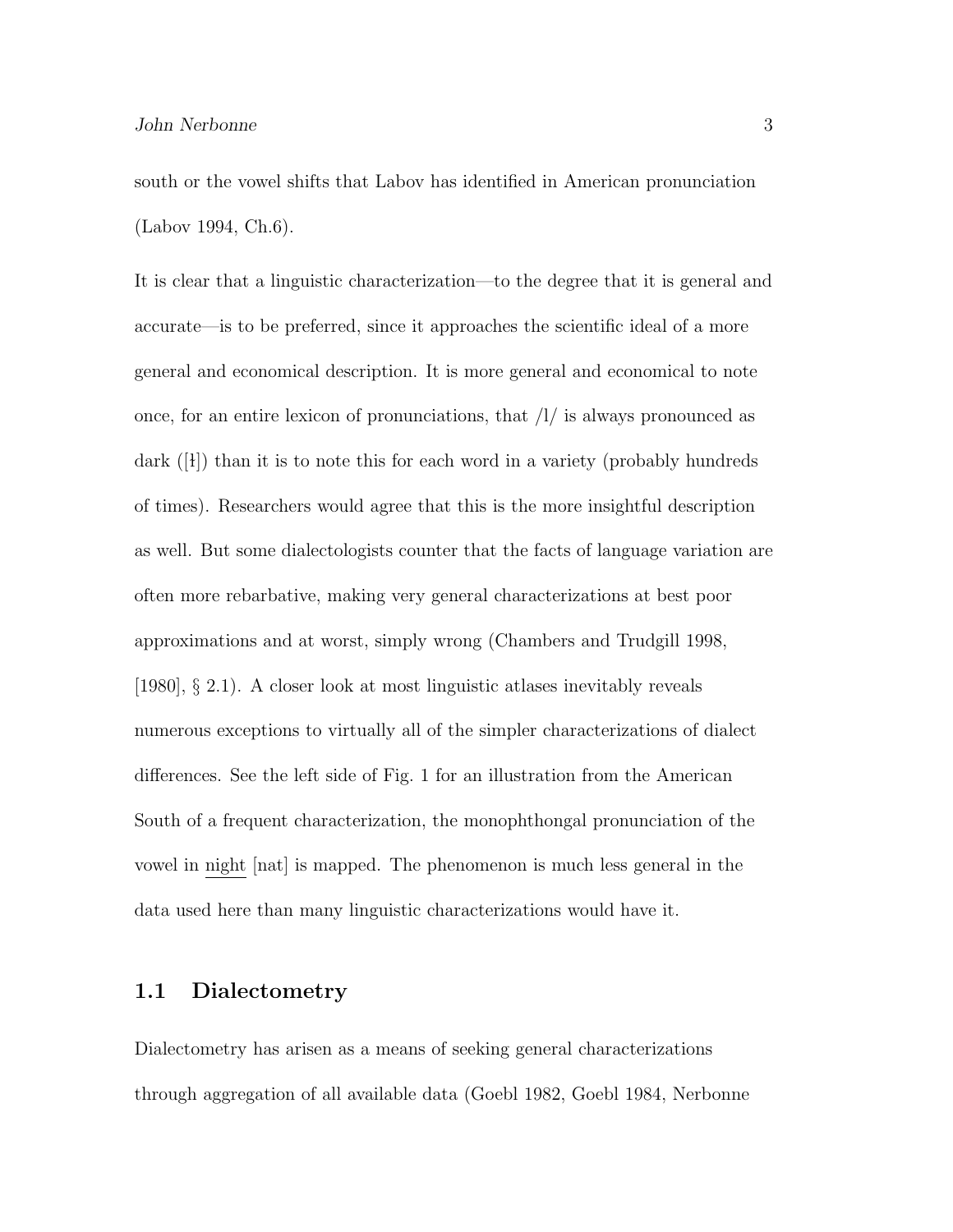south or the vowel shifts that Labov has identified in American pronunciation (Labov 1994, Ch.6).

It is clear that a linguistic characterization—to the degree that it is general and accurate—is to be preferred, since it approaches the scientific ideal of a more general and economical description. It is more general and economical to note once, for an entire lexicon of pronunciations, that /l/ is always pronounced as dark ([i]) than it is to note this for each word in a variety (probably hundreds of times). Researchers would agree that this is the more insightful description as well. But some dialectologists counter that the facts of language variation are often more rebarbative, making very general characterizations at best poor approximations and at worst, simply wrong (Chambers and Trudgill 1998, [1980], § 2.1). A closer look at most linguistic atlases inevitably reveals numerous exceptions to virtually all of the simpler characterizations of dialect differences. See the left side of Fig. 1 for an illustration from the American South of a frequent characterization, the monophthongal pronunciation of the vowel in night [nat] is mapped. The phenomenon is much less general in the data used here than many linguistic characterizations would have it.

### 1.1 Dialectometry

Dialectometry has arisen as a means of seeking general characterizations through aggregation of all available data (Goebl 1982, Goebl 1984, Nerbonne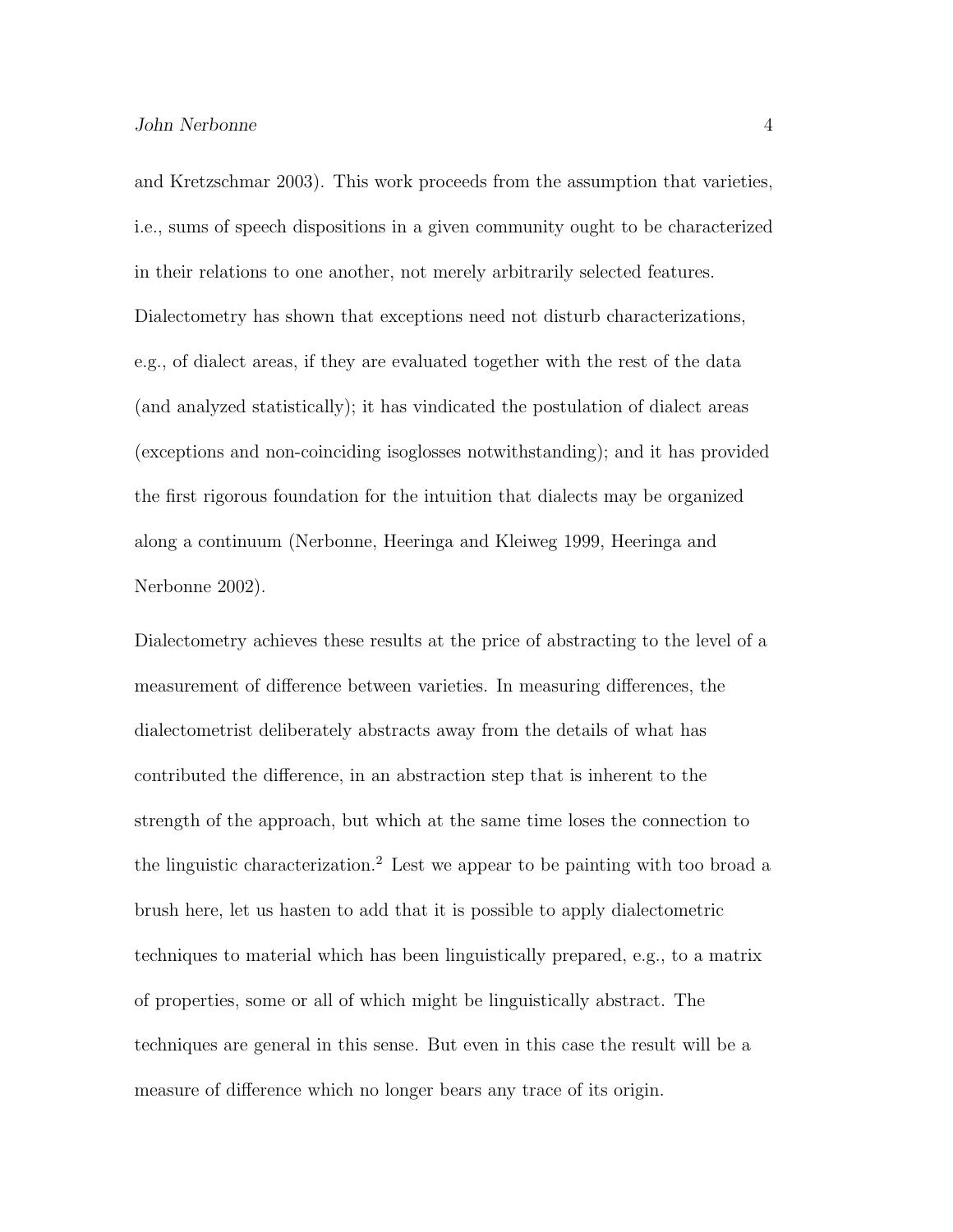and Kretzschmar 2003). This work proceeds from the assumption that varieties, i.e., sums of speech dispositions in a given community ought to be characterized in their relations to one another, not merely arbitrarily selected features. Dialectometry has shown that exceptions need not disturb characterizations, e.g., of dialect areas, if they are evaluated together with the rest of the data (and analyzed statistically); it has vindicated the postulation of dialect areas (exceptions and non-coinciding isoglosses notwithstanding); and it has provided the first rigorous foundation for the intuition that dialects may be organized along a continuum (Nerbonne, Heeringa and Kleiweg 1999, Heeringa and Nerbonne 2002).

Dialectometry achieves these results at the price of abstracting to the level of a measurement of difference between varieties. In measuring differences, the dialectometrist deliberately abstracts away from the details of what has contributed the difference, in an abstraction step that is inherent to the strength of the approach, but which at the same time loses the connection to the linguistic characterization.<sup>2</sup> Lest we appear to be painting with too broad a brush here, let us hasten to add that it is possible to apply dialectometric techniques to material which has been linguistically prepared, e.g., to a matrix of properties, some or all of which might be linguistically abstract. The techniques are general in this sense. But even in this case the result will be a measure of difference which no longer bears any trace of its origin.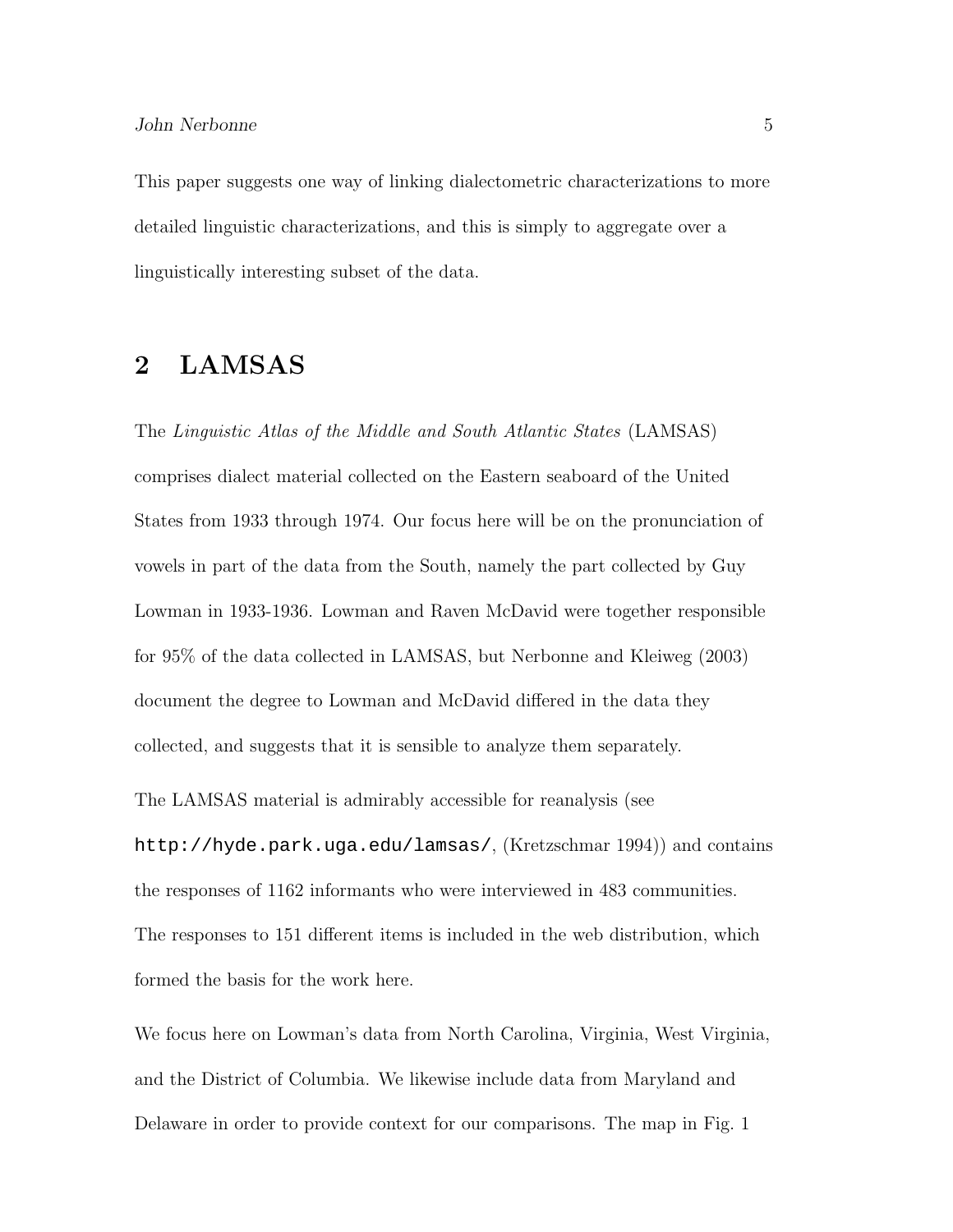This paper suggests one way of linking dialectometric characterizations to more detailed linguistic characterizations, and this is simply to aggregate over a linguistically interesting subset of the data.

### 2 LAMSAS

The Linguistic Atlas of the Middle and South Atlantic States (LAMSAS) comprises dialect material collected on the Eastern seaboard of the United States from 1933 through 1974. Our focus here will be on the pronunciation of vowels in part of the data from the South, namely the part collected by Guy Lowman in 1933-1936. Lowman and Raven McDavid were together responsible for 95% of the data collected in LAMSAS, but Nerbonne and Kleiweg (2003) document the degree to Lowman and McDavid differed in the data they collected, and suggests that it is sensible to analyze them separately.

The LAMSAS material is admirably accessible for reanalysis (see http://hyde.park.uga.edu/lamsas/, (Kretzschmar 1994)) and contains the responses of 1162 informants who were interviewed in 483 communities. The responses to 151 different items is included in the web distribution, which formed the basis for the work here.

We focus here on Lowman's data from North Carolina, Virginia, West Virginia, and the District of Columbia. We likewise include data from Maryland and Delaware in order to provide context for our comparisons. The map in Fig. 1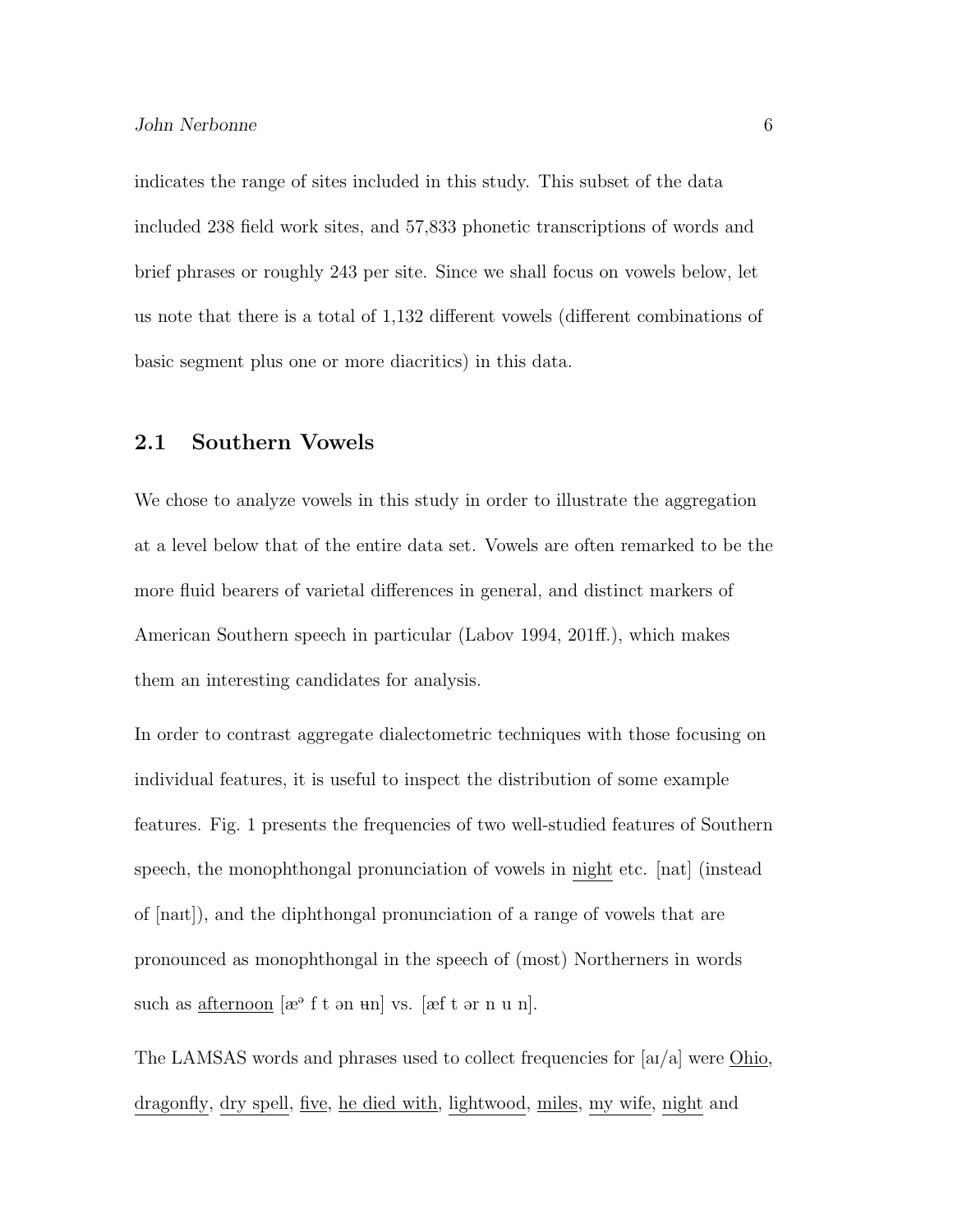indicates the range of sites included in this study. This subset of the data included 238 field work sites, and 57,833 phonetic transcriptions of words and brief phrases or roughly 243 per site. Since we shall focus on vowels below, let us note that there is a total of 1,132 different vowels (different combinations of basic segment plus one or more diacritics) in this data.

#### 2.1 Southern Vowels

We chose to analyze vowels in this study in order to illustrate the aggregation at a level below that of the entire data set. Vowels are often remarked to be the more fluid bearers of varietal differences in general, and distinct markers of American Southern speech in particular (Labov 1994, 201ff.), which makes them an interesting candidates for analysis.

In order to contrast aggregate dialectometric techniques with those focusing on individual features, it is useful to inspect the distribution of some example features. Fig. 1 presents the frequencies of two well-studied features of Southern speech, the monophthongal pronunciation of vowels in night etc. [nat] (instead of  $[{\text{nat}}]$ , and the diphthongal pronunciation of a range of vowels that are pronounced as monophthongal in the speech of (most) Northerners in words such as  $\frac{\text{afternoon}}{\text{a}^{\circ}}$  f t an und vs. [æf t ar n u n].

The LAMSAS words and phrases used to collect frequencies for  $|a/a|$  were Ohio, dragonfly, dry spell, five, he died with, lightwood, miles, my wife, night and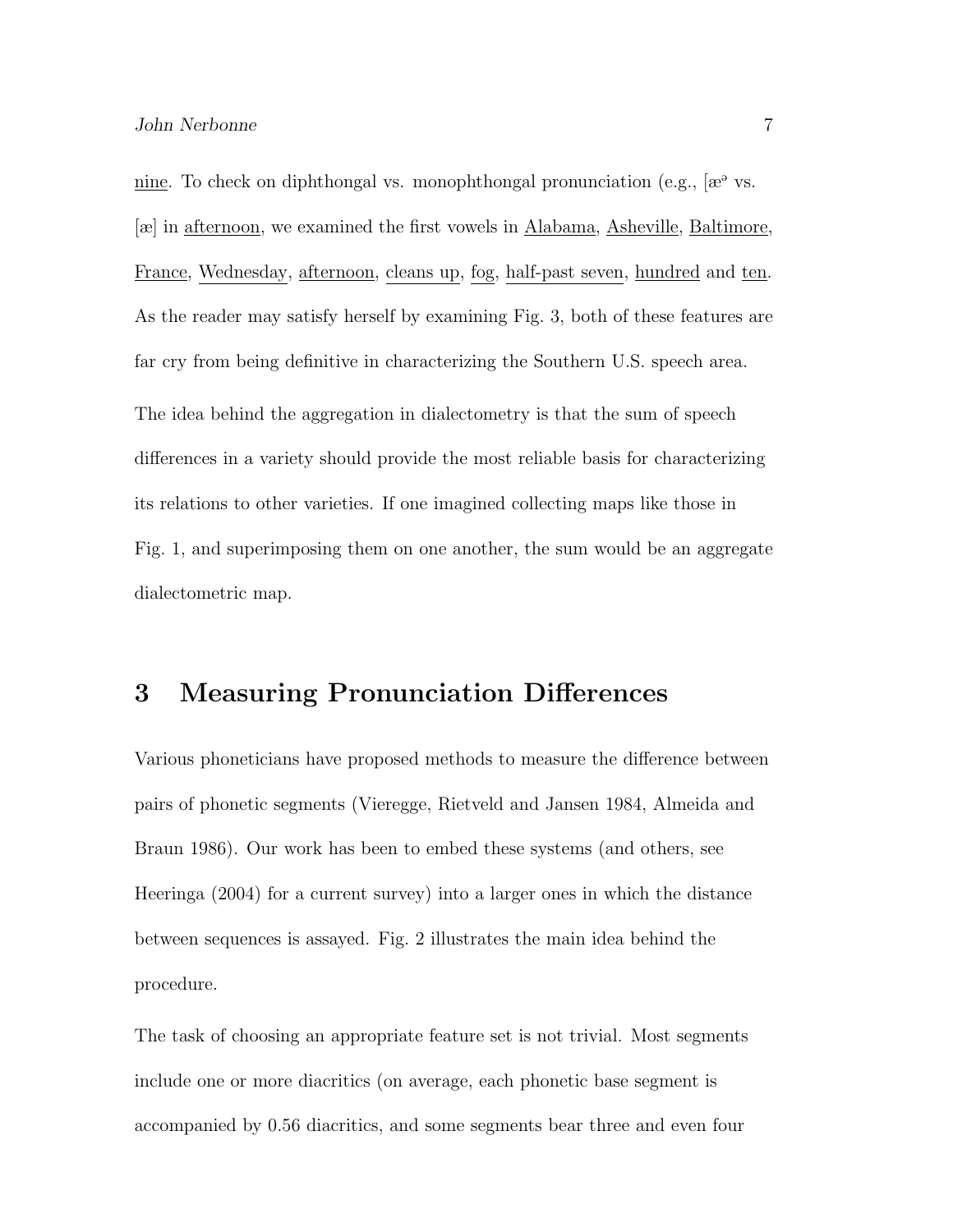nine. To check on diphthongal vs. monophthongal pronunciation (e.g.,  $[\mathscr{E}^{\vartheta}]$  vs. [æ] in afternoon, we examined the first vowels in Alabama, Asheville, Baltimore, France, Wednesday, <u>afternoon</u>, cleans up, fog, half-past seven, <u>hundred</u> and ten. As the reader may satisfy herself by examining Fig. 3, both of these features are far cry from being definitive in characterizing the Southern U.S. speech area. The idea behind the aggregation in dialectometry is that the sum of speech differences in a variety should provide the most reliable basis for characterizing its relations to other varieties. If one imagined collecting maps like those in Fig. 1, and superimposing them on one another, the sum would be an aggregate dialectometric map.

### 3 Measuring Pronunciation Differences

Various phoneticians have proposed methods to measure the difference between pairs of phonetic segments (Vieregge, Rietveld and Jansen 1984, Almeida and Braun 1986). Our work has been to embed these systems (and others, see Heeringa (2004) for a current survey) into a larger ones in which the distance between sequences is assayed. Fig. 2 illustrates the main idea behind the procedure.

The task of choosing an appropriate feature set is not trivial. Most segments include one or more diacritics (on average, each phonetic base segment is accompanied by 0.56 diacritics, and some segments bear three and even four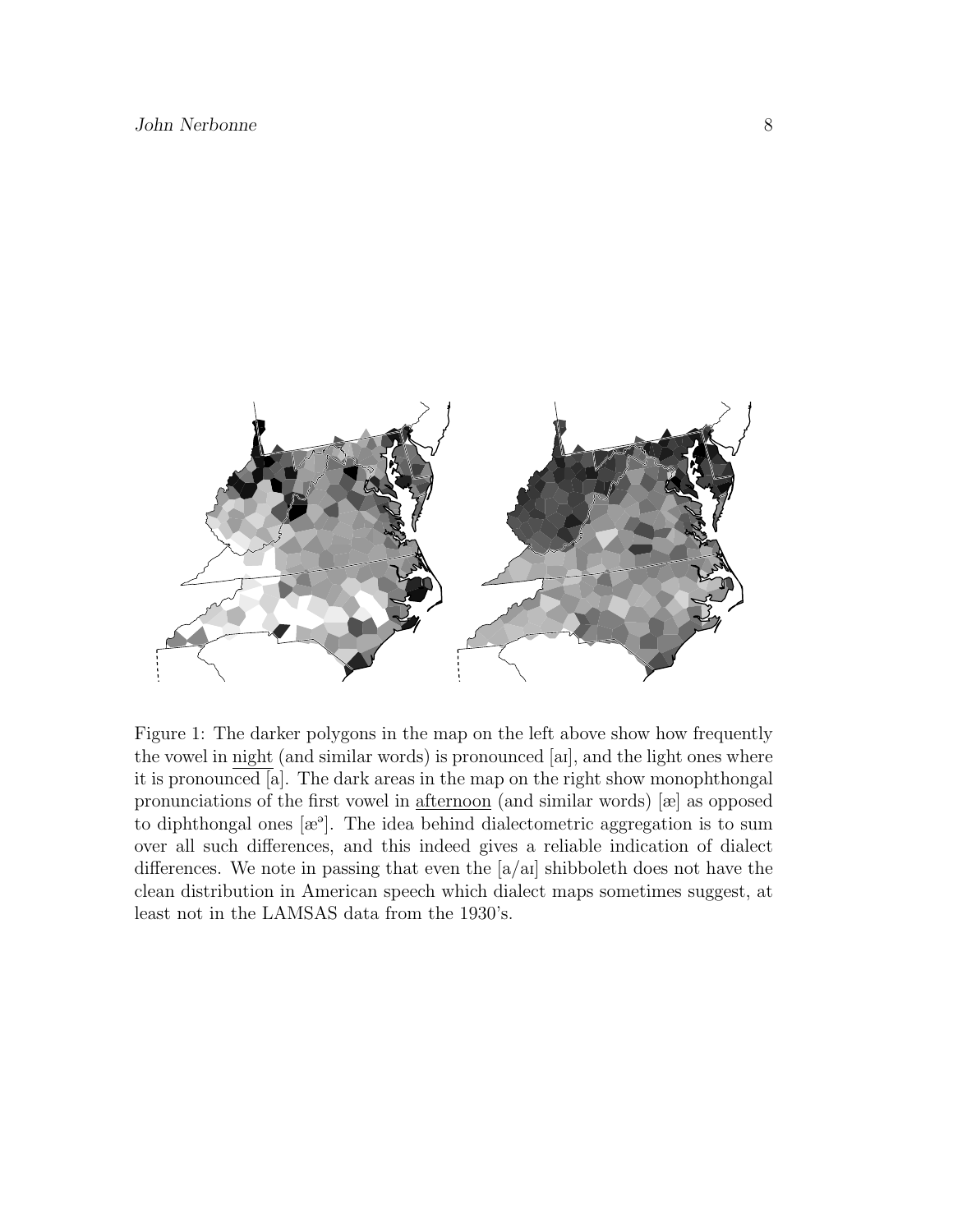

Figure 1: The darker polygons in the map on the left above show how frequently the vowel in night (and similar words) is pronounced [aI], and the light ones where it is pronounced [a]. The dark areas in the map on the right show monophthongal pronunciations of the first vowel in afternoon (and similar words) [æ] as opposed to diphthongal ones  $[\mathbb{R}^3]$ . The idea behind dialectometric aggregation is to sum over all such differences, and this indeed gives a reliable indication of dialect differences. We note in passing that even the  $a/ai$  shibboleth does not have the clean distribution in American speech which dialect maps sometimes suggest, at least not in the LAMSAS data from the 1930's.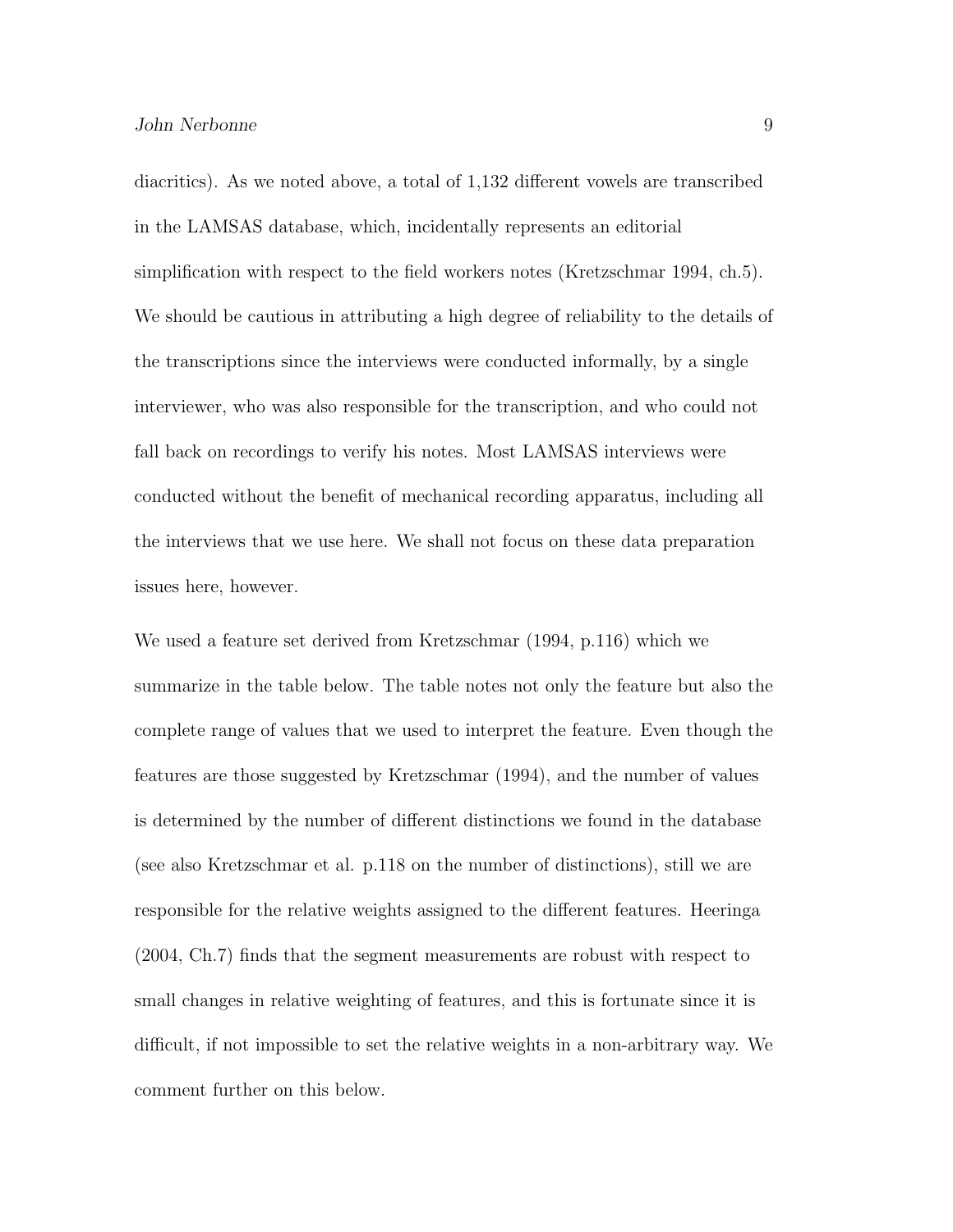diacritics). As we noted above, a total of 1,132 different vowels are transcribed in the LAMSAS database, which, incidentally represents an editorial simplification with respect to the field workers notes (Kretzschmar 1994, ch.5). We should be cautious in attributing a high degree of reliability to the details of the transcriptions since the interviews were conducted informally, by a single interviewer, who was also responsible for the transcription, and who could not fall back on recordings to verify his notes. Most LAMSAS interviews were conducted without the benefit of mechanical recording apparatus, including all the interviews that we use here. We shall not focus on these data preparation issues here, however.

We used a feature set derived from Kretzschmar (1994, p.116) which we summarize in the table below. The table notes not only the feature but also the complete range of values that we used to interpret the feature. Even though the features are those suggested by Kretzschmar (1994), and the number of values is determined by the number of different distinctions we found in the database (see also Kretzschmar et al. p.118 on the number of distinctions), still we are responsible for the relative weights assigned to the different features. Heeringa (2004, Ch.7) finds that the segment measurements are robust with respect to small changes in relative weighting of features, and this is fortunate since it is difficult, if not impossible to set the relative weights in a non-arbitrary way. We comment further on this below.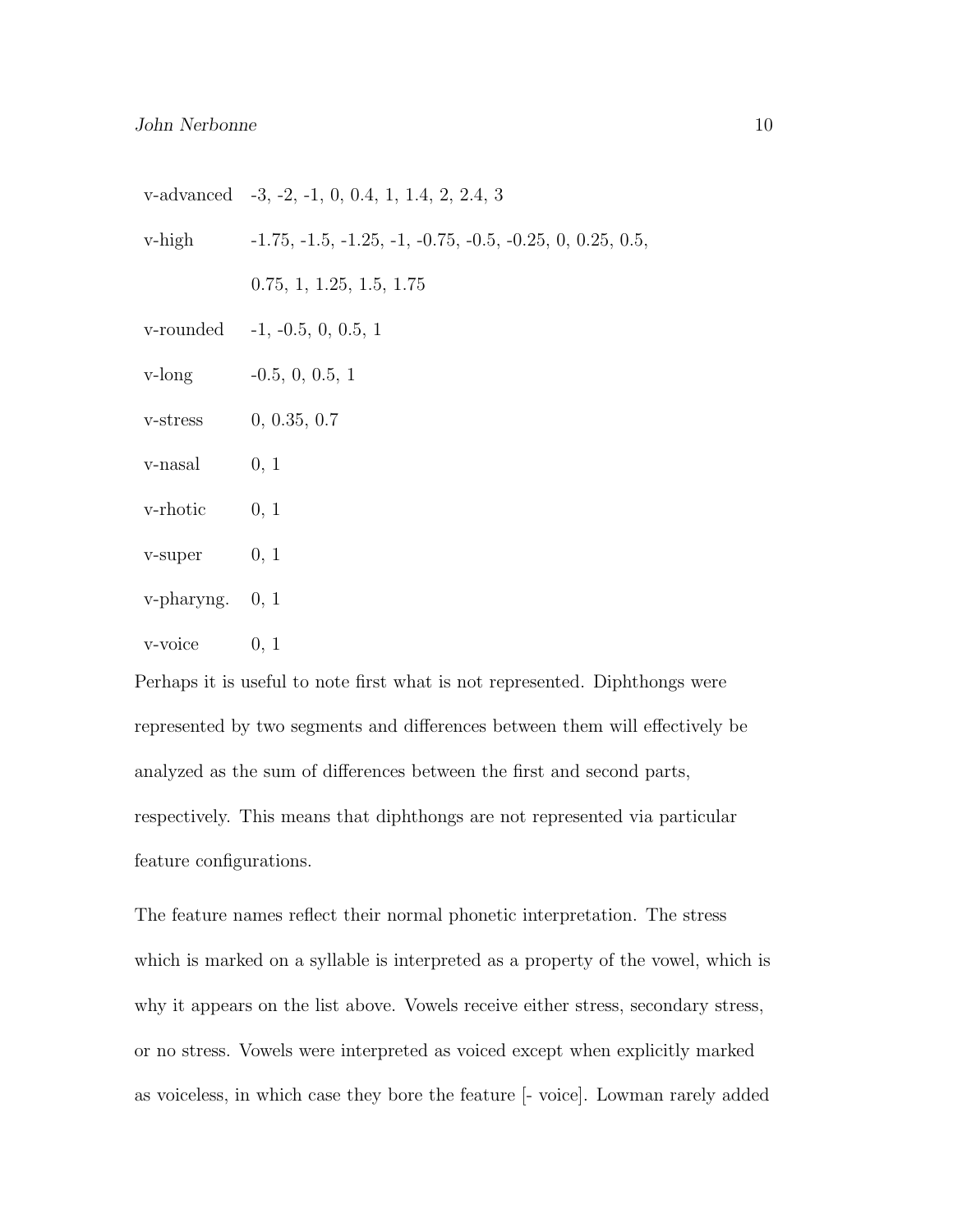|                        | v-advanced $-3, -2, -1, 0, 0.4, 1, 1.4, 2, 2.4, 3$                 |
|------------------------|--------------------------------------------------------------------|
|                        | v-high $-1.75, -1.5, -1.25, -1, -0.75, -0.5, -0.25, 0, 0.25, 0.5,$ |
|                        | 0.75, 1, 1.25, 1.5, 1.75                                           |
|                        | v-rounded $-1, -0.5, 0, 0.5, 1$                                    |
|                        | $v\text{-long}$ $-0.5, 0, 0.5, 1$                                  |
| v-stress               | 0, 0.35, 0.7                                                       |
| $v$ -nasal $0, 1$      |                                                                    |
| $v\text{-}rhotic$ 0, 1 |                                                                    |
| $v\text{-super}$ 0, 1  |                                                                    |
| $v$ -pharyng. 0, 1     |                                                                    |
| v-voice                | 0, 1                                                               |

Perhaps it is useful to note first what is not represented. Diphthongs were represented by two segments and differences between them will effectively be analyzed as the sum of differences between the first and second parts, respectively. This means that diphthongs are not represented via particular feature configurations.

The feature names reflect their normal phonetic interpretation. The stress which is marked on a syllable is interpreted as a property of the vowel, which is why it appears on the list above. Vowels receive either stress, secondary stress, or no stress. Vowels were interpreted as voiced except when explicitly marked as voiceless, in which case they bore the feature [- voice]. Lowman rarely added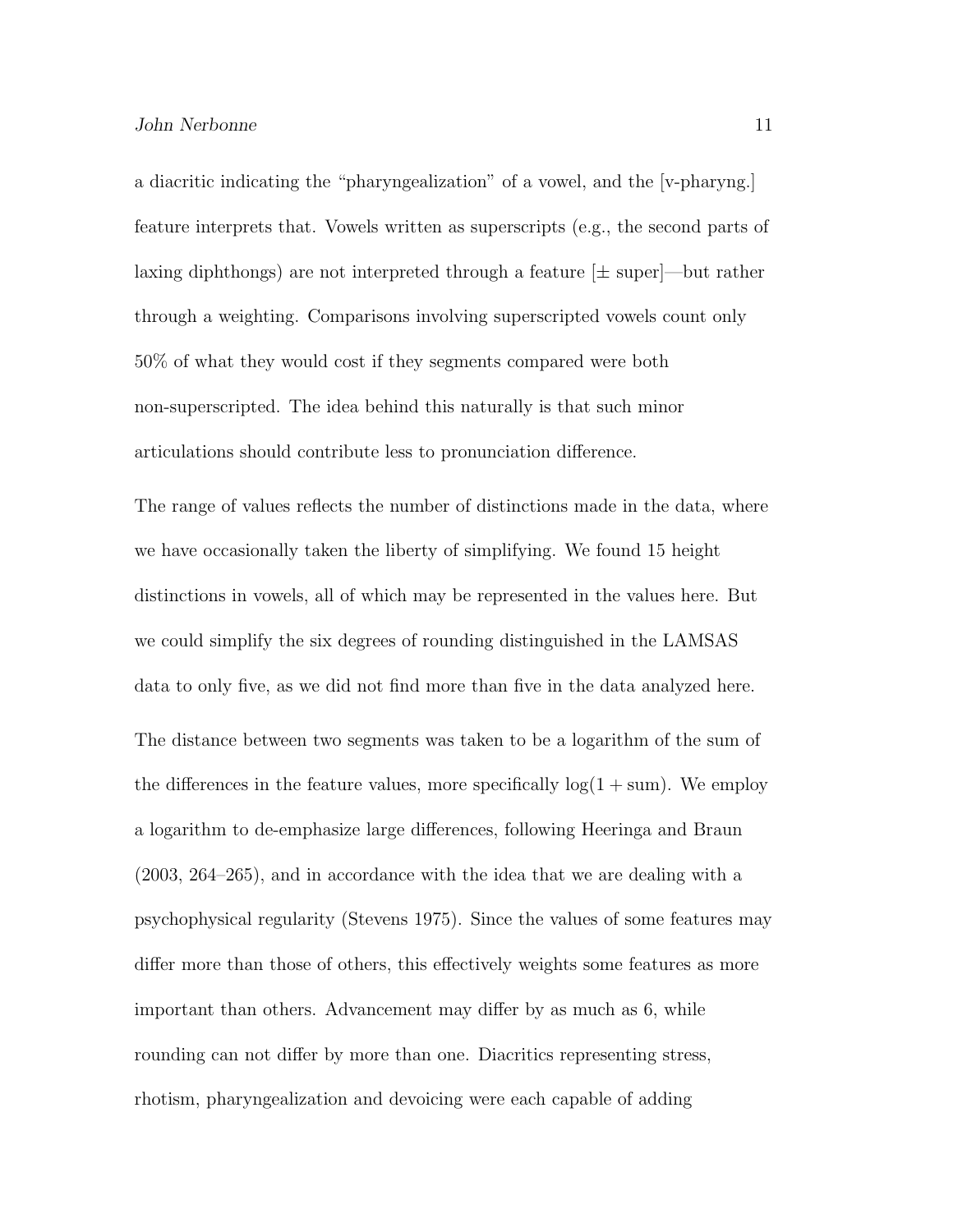a diacritic indicating the "pharyngealization" of a vowel, and the [v-pharyng.] feature interprets that. Vowels written as superscripts (e.g., the second parts of laxing diphthongs) are not interpreted through a feature  $[\pm$  superthrough a weighting. Comparisons involving superscripted vowels count only 50% of what they would cost if they segments compared were both non-superscripted. The idea behind this naturally is that such minor articulations should contribute less to pronunciation difference.

The range of values reflects the number of distinctions made in the data, where we have occasionally taken the liberty of simplifying. We found 15 height distinctions in vowels, all of which may be represented in the values here. But we could simplify the six degrees of rounding distinguished in the LAMSAS data to only five, as we did not find more than five in the data analyzed here. The distance between two segments was taken to be a logarithm of the sum of the differences in the feature values, more specifically  $log(1 + sum)$ . We employ a logarithm to de-emphasize large differences, following Heeringa and Braun (2003, 264–265), and in accordance with the idea that we are dealing with a psychophysical regularity (Stevens 1975). Since the values of some features may differ more than those of others, this effectively weights some features as more important than others. Advancement may differ by as much as 6, while rounding can not differ by more than one. Diacritics representing stress, rhotism, pharyngealization and devoicing were each capable of adding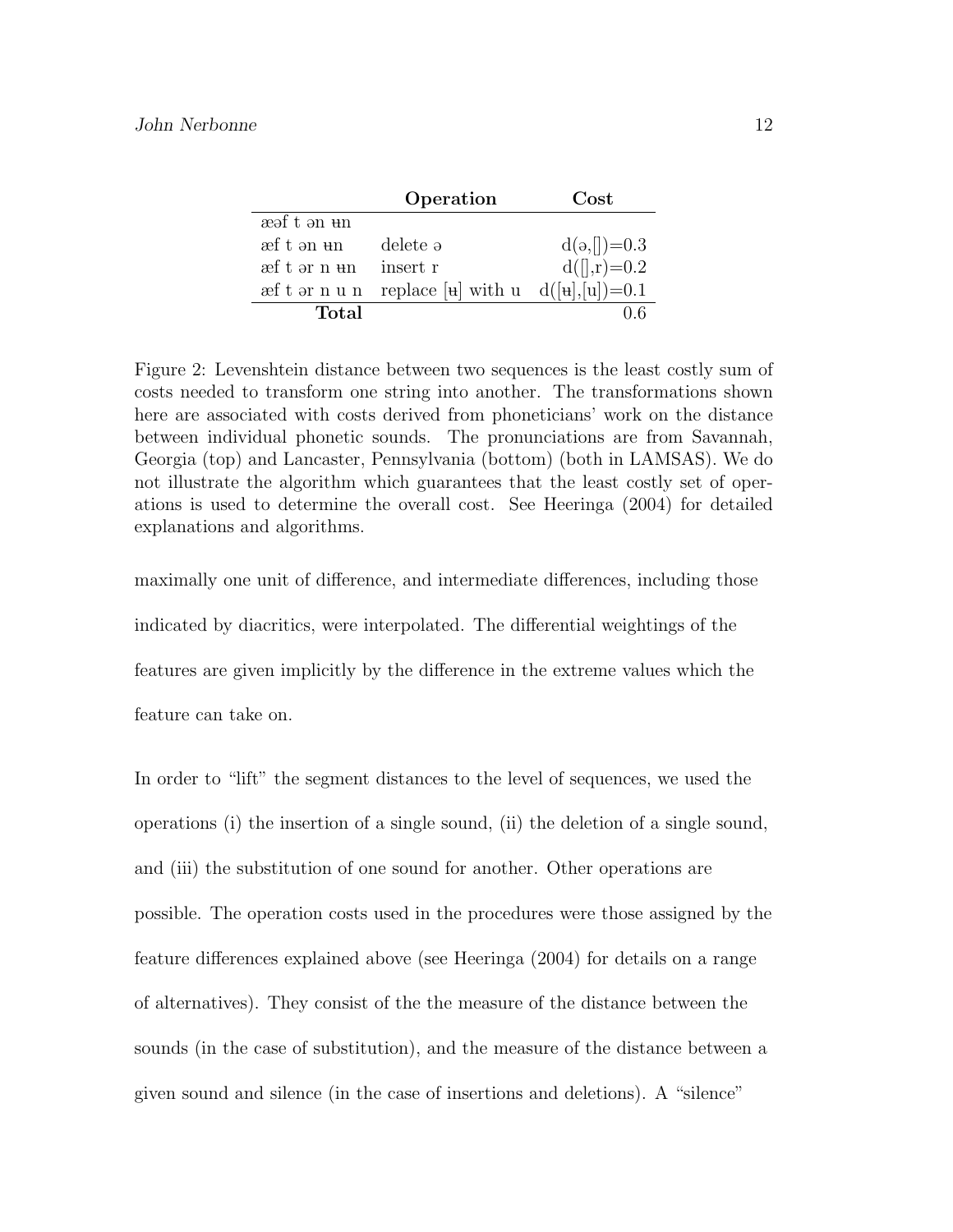|             | Operation                                                                                          | Cost               |
|-------------|----------------------------------------------------------------------------------------------------|--------------------|
| æəf t ən un |                                                                                                    |                    |
| æf t ən un  | delete ə                                                                                           | $d(a,[])=0.3$      |
| æft ər n un | insert r                                                                                           | $d([]$ , r $)=0.2$ |
|             | $\text{ref } t \text{ or } n \text{ u } n$ replace [\term] with u d(\text{\math}{\math}\math} =0.1 |                    |
| Total       |                                                                                                    |                    |

Figure 2: Levenshtein distance between two sequences is the least costly sum of costs needed to transform one string into another. The transformations shown here are associated with costs derived from phoneticians' work on the distance between individual phonetic sounds. The pronunciations are from Savannah, Georgia (top) and Lancaster, Pennsylvania (bottom) (both in LAMSAS). We do not illustrate the algorithm which guarantees that the least costly set of operations is used to determine the overall cost. See Heeringa (2004) for detailed explanations and algorithms.

maximally one unit of difference, and intermediate differences, including those indicated by diacritics, were interpolated. The differential weightings of the features are given implicitly by the difference in the extreme values which the feature can take on.

In order to "lift" the segment distances to the level of sequences, we used the operations (i) the insertion of a single sound, (ii) the deletion of a single sound, and (iii) the substitution of one sound for another. Other operations are possible. The operation costs used in the procedures were those assigned by the feature differences explained above (see Heeringa (2004) for details on a range of alternatives). They consist of the the measure of the distance between the sounds (in the case of substitution), and the measure of the distance between a given sound and silence (in the case of insertions and deletions). A "silence"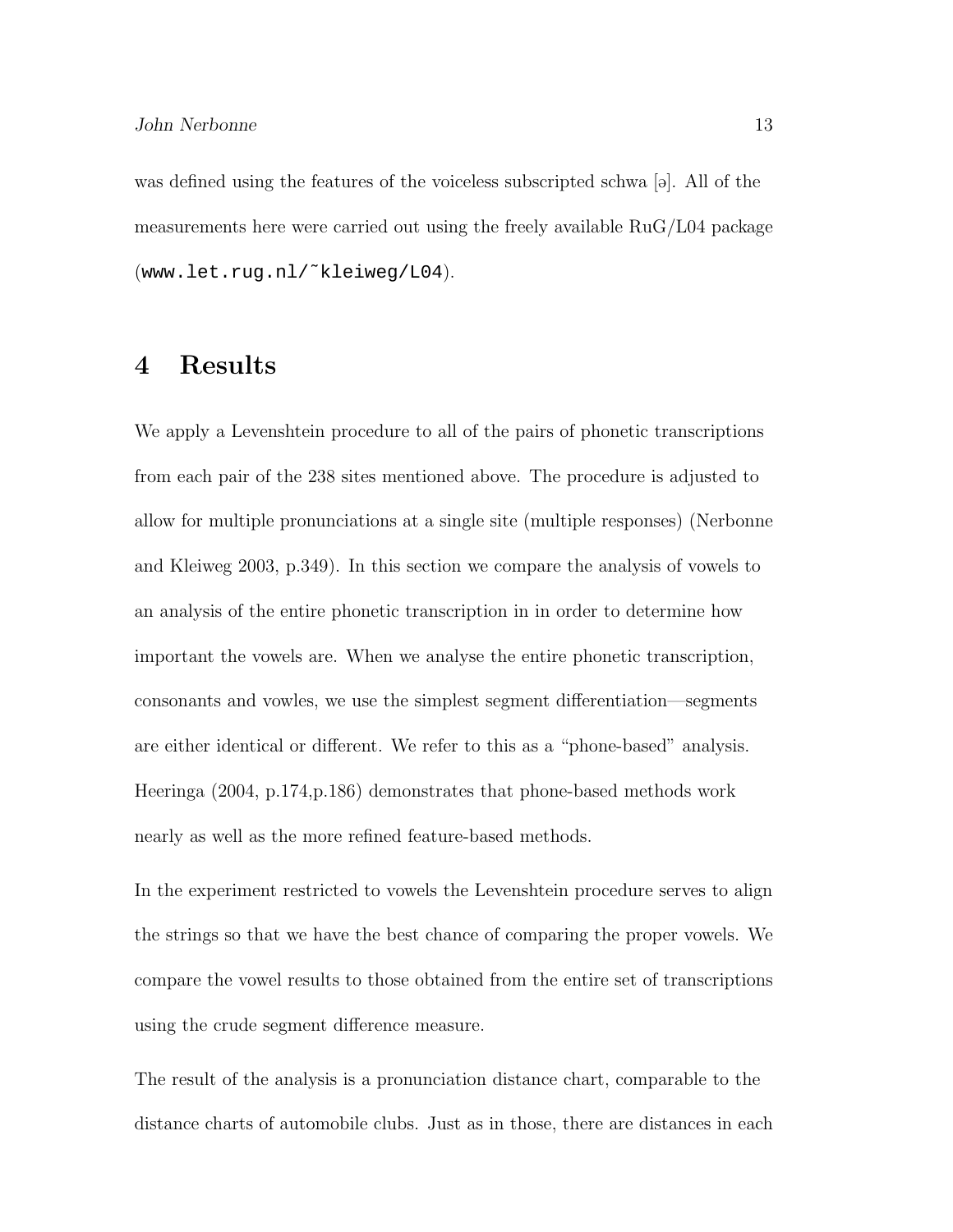was defined using the features of the voiceless subscripted schwa  $[\circ]$ . All of the measurements here were carried out using the freely available RuG/L04 package (www.let.rug.nl/˜kleiweg/L04).

### 4 Results

We apply a Levenshtein procedure to all of the pairs of phonetic transcriptions from each pair of the 238 sites mentioned above. The procedure is adjusted to allow for multiple pronunciations at a single site (multiple responses) (Nerbonne and Kleiweg 2003, p.349). In this section we compare the analysis of vowels to an analysis of the entire phonetic transcription in in order to determine how important the vowels are. When we analyse the entire phonetic transcription, consonants and vowles, we use the simplest segment differentiation—segments are either identical or different. We refer to this as a "phone-based" analysis. Heeringa (2004, p.174,p.186) demonstrates that phone-based methods work nearly as well as the more refined feature-based methods.

In the experiment restricted to vowels the Levenshtein procedure serves to align the strings so that we have the best chance of comparing the proper vowels. We compare the vowel results to those obtained from the entire set of transcriptions using the crude segment difference measure.

The result of the analysis is a pronunciation distance chart, comparable to the distance charts of automobile clubs. Just as in those, there are distances in each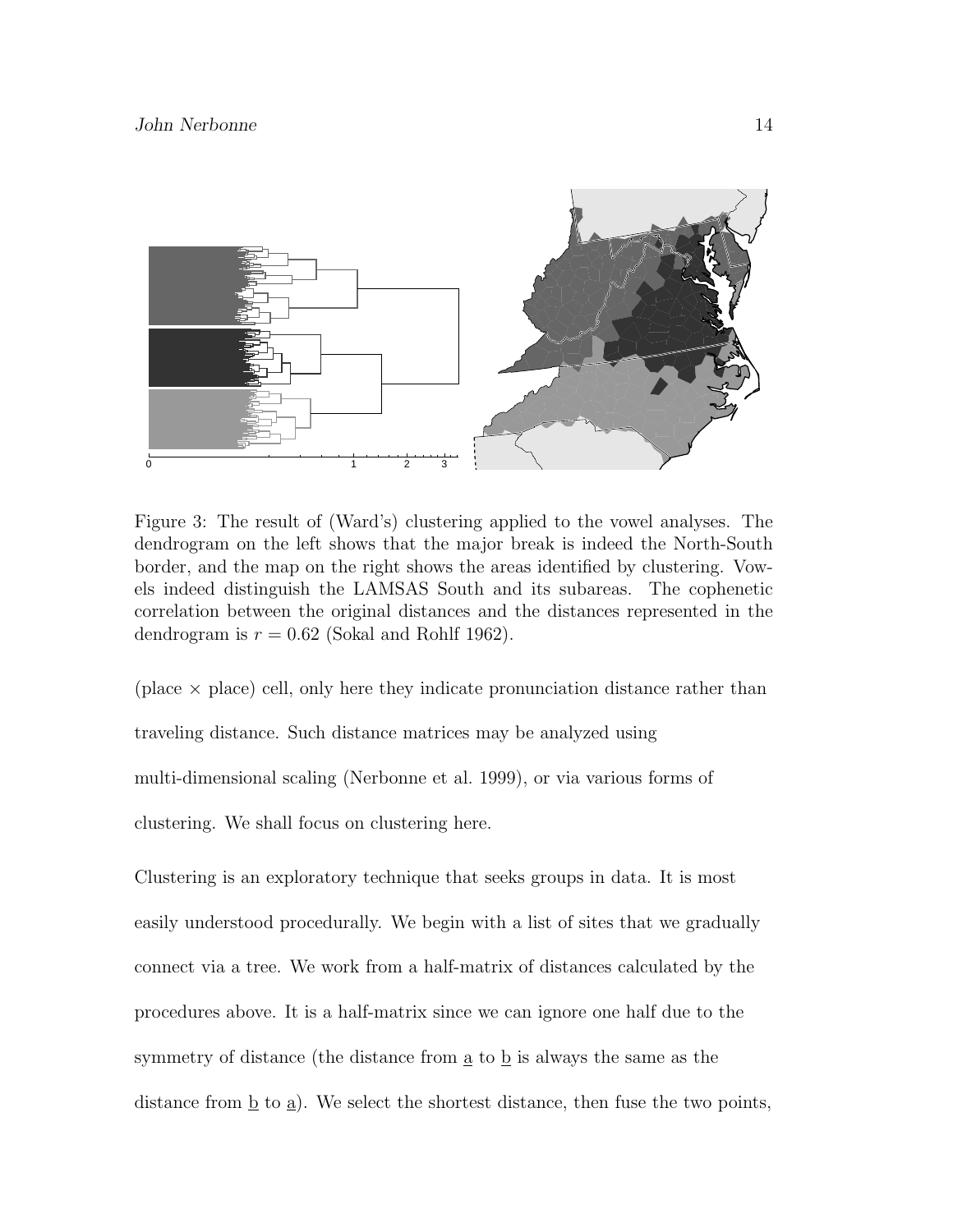

Figure 3: The result of (Ward's) clustering applied to the vowel analyses. The dendrogram on the left shows that the major break is indeed the North-South border, and the map on the right shows the areas identified by clustering. Vowels indeed distinguish the LAMSAS South and its subareas. The cophenetic correlation between the original distances and the distances represented in the dendrogram is  $r = 0.62$  (Sokal and Rohlf 1962).

(place  $\times$  place) cell, only here they indicate pronunciation distance rather than traveling distance. Such distance matrices may be analyzed using multi-dimensional scaling (Nerbonne et al. 1999), or via various forms of clustering. We shall focus on clustering here.

Clustering is an exploratory technique that seeks groups in data. It is most easily understood procedurally. We begin with a list of sites that we gradually connect via a tree. We work from a half-matrix of distances calculated by the procedures above. It is a half-matrix since we can ignore one half due to the symmetry of distance (the distance from  $\underline{a}$  to  $\underline{b}$  is always the same as the distance from  $\underline{b}$  to  $\underline{a}$ ). We select the shortest distance, then fuse the two points,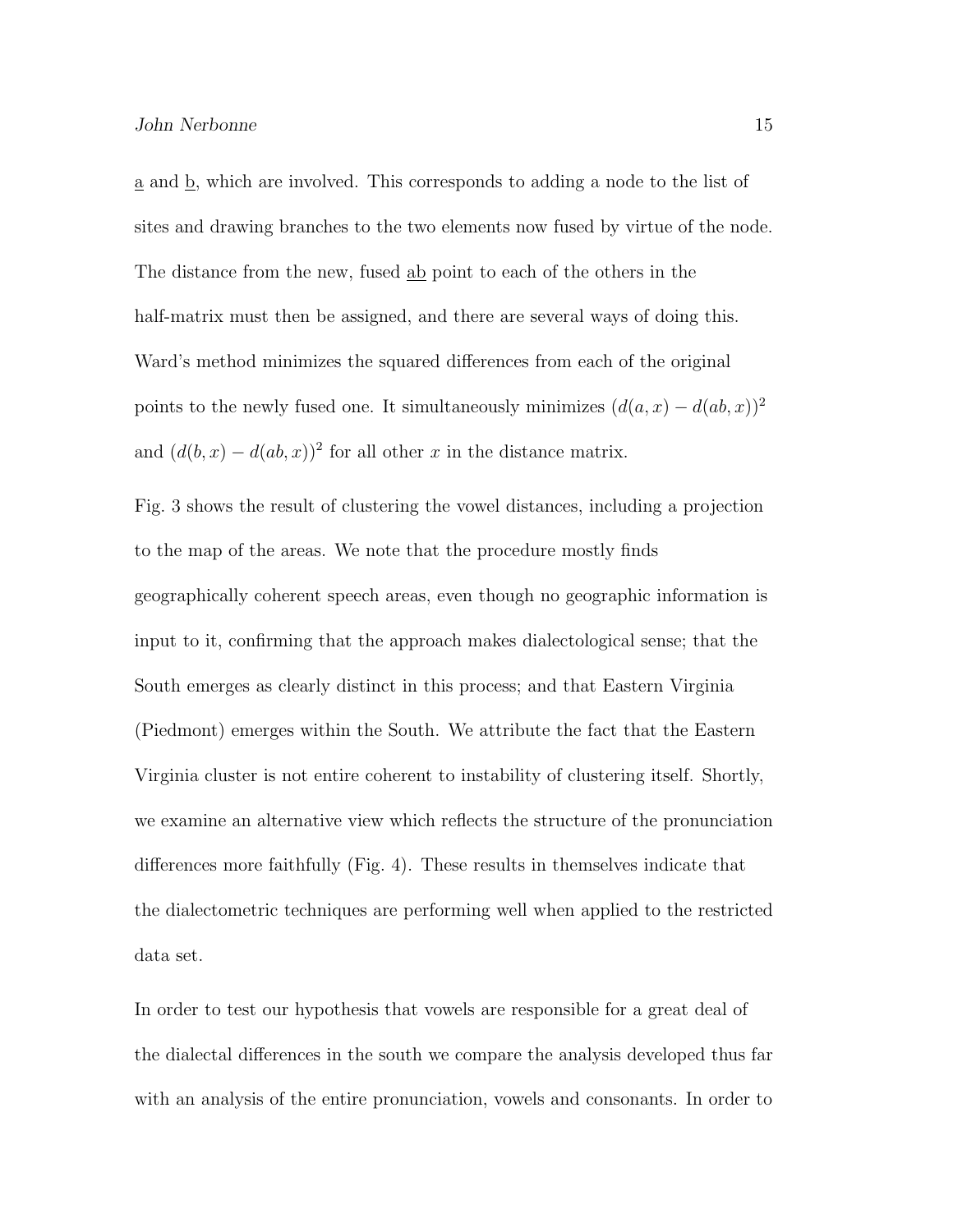a and b, which are involved. This corresponds to adding a node to the list of sites and drawing branches to the two elements now fused by virtue of the node. The distance from the new, fused ab point to each of the others in the half-matrix must then be assigned, and there are several ways of doing this. Ward's method minimizes the squared differences from each of the original points to the newly fused one. It simultaneously minimizes  $(d(a, x) - d(ab, x))^2$ and  $(d(b, x) - d(ab, x))^2$  for all other x in the distance matrix.

Fig. 3 shows the result of clustering the vowel distances, including a projection to the map of the areas. We note that the procedure mostly finds geographically coherent speech areas, even though no geographic information is input to it, confirming that the approach makes dialectological sense; that the South emerges as clearly distinct in this process; and that Eastern Virginia (Piedmont) emerges within the South. We attribute the fact that the Eastern Virginia cluster is not entire coherent to instability of clustering itself. Shortly, we examine an alternative view which reflects the structure of the pronunciation differences more faithfully (Fig. 4). These results in themselves indicate that the dialectometric techniques are performing well when applied to the restricted data set.

In order to test our hypothesis that vowels are responsible for a great deal of the dialectal differences in the south we compare the analysis developed thus far with an analysis of the entire pronunciation, vowels and consonants. In order to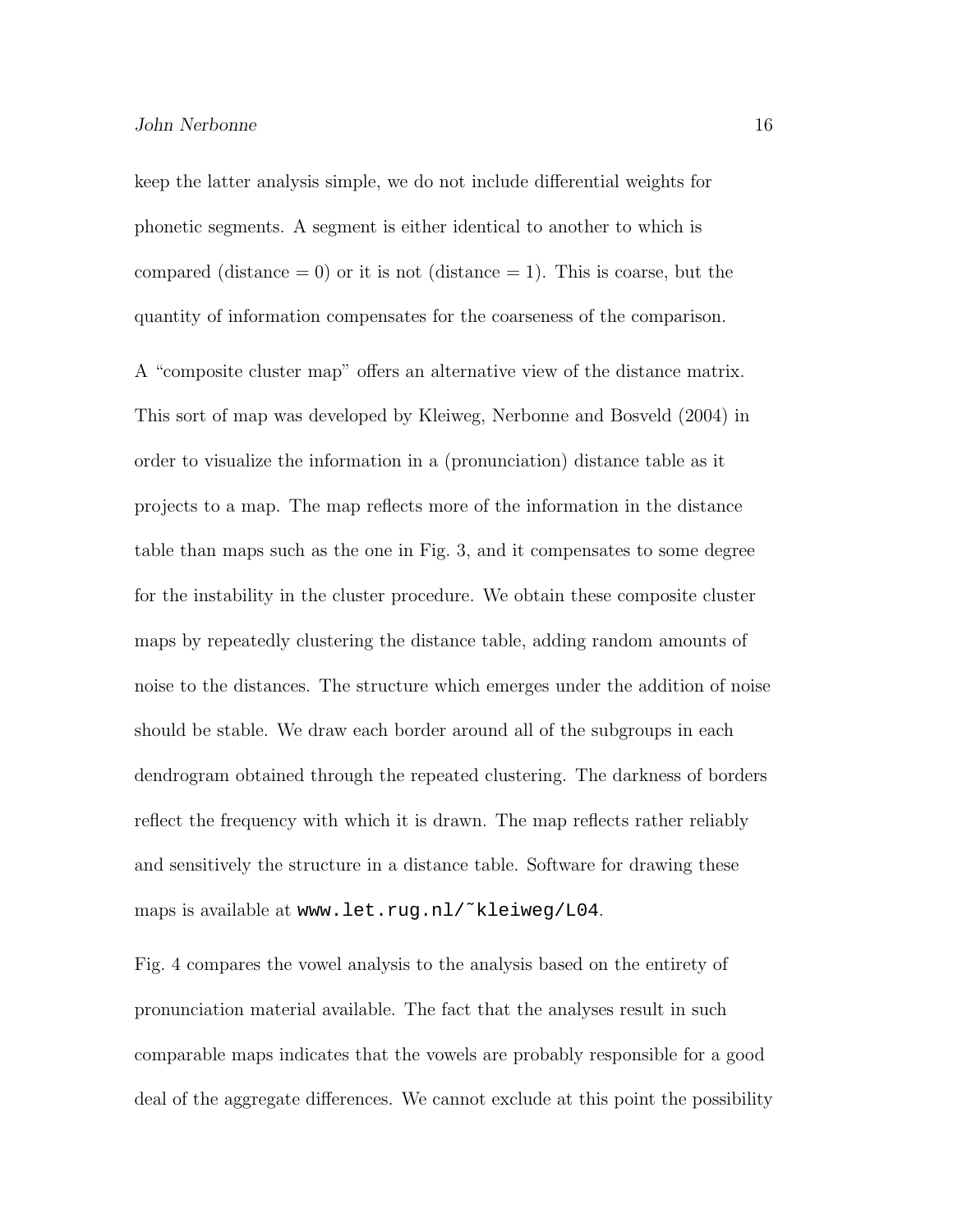keep the latter analysis simple, we do not include differential weights for phonetic segments. A segment is either identical to another to which is compared (distance  $= 0$ ) or it is not (distance  $= 1$ ). This is coarse, but the quantity of information compensates for the coarseness of the comparison.

A "composite cluster map" offers an alternative view of the distance matrix. This sort of map was developed by Kleiweg, Nerbonne and Bosveld (2004) in order to visualize the information in a (pronunciation) distance table as it projects to a map. The map reflects more of the information in the distance table than maps such as the one in Fig. 3, and it compensates to some degree for the instability in the cluster procedure. We obtain these composite cluster maps by repeatedly clustering the distance table, adding random amounts of noise to the distances. The structure which emerges under the addition of noise should be stable. We draw each border around all of the subgroups in each dendrogram obtained through the repeated clustering. The darkness of borders reflect the frequency with which it is drawn. The map reflects rather reliably and sensitively the structure in a distance table. Software for drawing these maps is available at www.let.rug.nl/~kleiweg/L04.

Fig. 4 compares the vowel analysis to the analysis based on the entirety of pronunciation material available. The fact that the analyses result in such comparable maps indicates that the vowels are probably responsible for a good deal of the aggregate differences. We cannot exclude at this point the possibility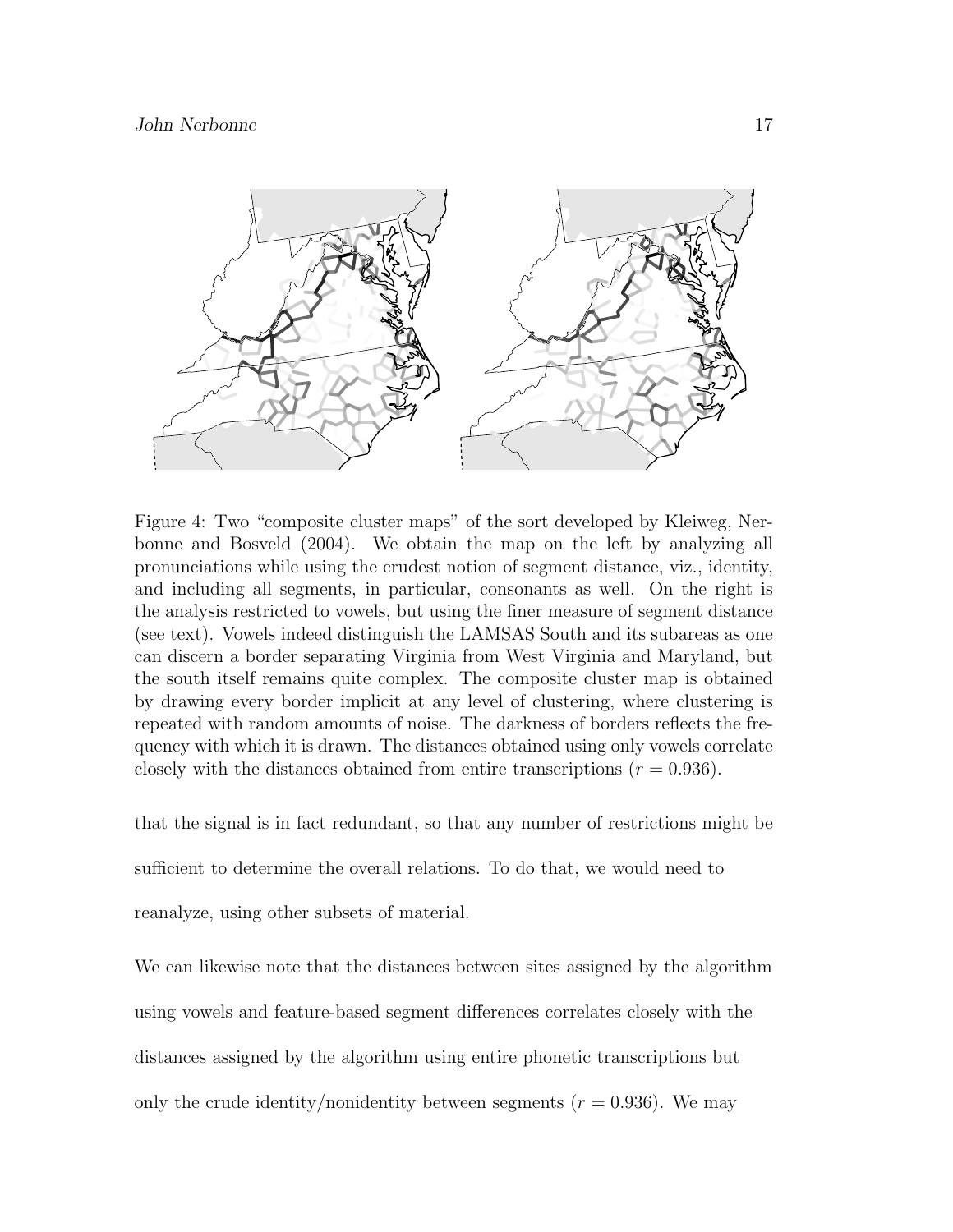

Figure 4: Two "composite cluster maps" of the sort developed by Kleiweg, Nerbonne and Bosveld (2004). We obtain the map on the left by analyzing all pronunciations while using the crudest notion of segment distance, viz., identity, and including all segments, in particular, consonants as well. On the right is the analysis restricted to vowels, but using the finer measure of segment distance (see text). Vowels indeed distinguish the LAMSAS South and its subareas as one can discern a border separating Virginia from West Virginia and Maryland, but the south itself remains quite complex. The composite cluster map is obtained by drawing every border implicit at any level of clustering, where clustering is repeated with random amounts of noise. The darkness of borders reflects the frequency with which it is drawn. The distances obtained using only vowels correlate closely with the distances obtained from entire transcriptions  $(r = 0.936)$ .

that the signal is in fact redundant, so that any number of restrictions might be

sufficient to determine the overall relations. To do that, we would need to

reanalyze, using other subsets of material.

We can likewise note that the distances between sites assigned by the algorithm using vowels and feature-based segment differences correlates closely with the distances assigned by the algorithm using entire phonetic transcriptions but only the crude identity/nonidentity between segments ( $r = 0.936$ ). We may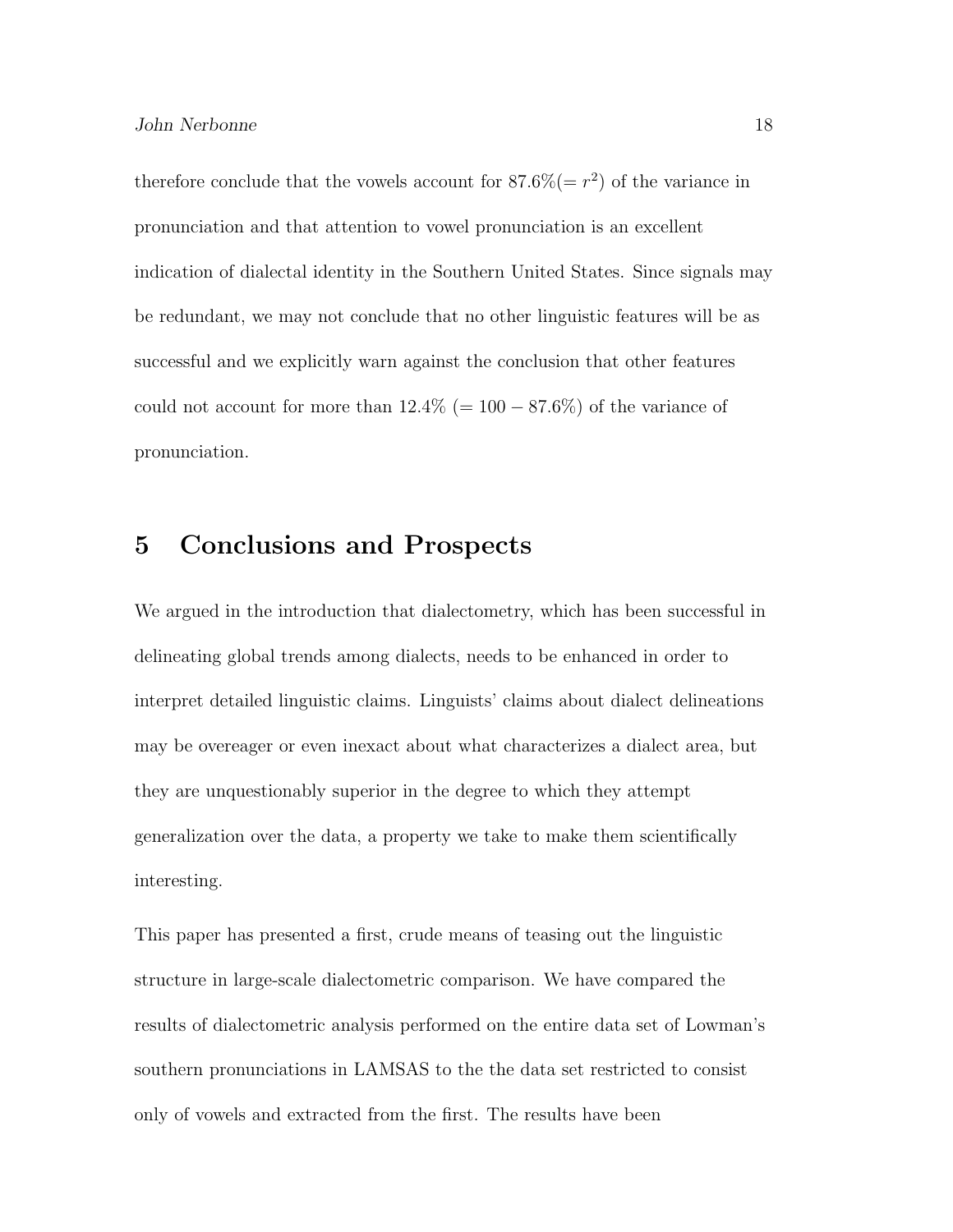therefore conclude that the vowels account for  $87.6\% (= r^2)$  of the variance in pronunciation and that attention to vowel pronunciation is an excellent indication of dialectal identity in the Southern United States. Since signals may be redundant, we may not conclude that no other linguistic features will be as successful and we explicitly warn against the conclusion that other features could not account for more than  $12.4\%$  (= 100 – 87.6%) of the variance of pronunciation.

### 5 Conclusions and Prospects

We argued in the introduction that dialectometry, which has been successful in delineating global trends among dialects, needs to be enhanced in order to interpret detailed linguistic claims. Linguists' claims about dialect delineations may be overeager or even inexact about what characterizes a dialect area, but they are unquestionably superior in the degree to which they attempt generalization over the data, a property we take to make them scientifically interesting.

This paper has presented a first, crude means of teasing out the linguistic structure in large-scale dialectometric comparison. We have compared the results of dialectometric analysis performed on the entire data set of Lowman's southern pronunciations in LAMSAS to the the data set restricted to consist only of vowels and extracted from the first. The results have been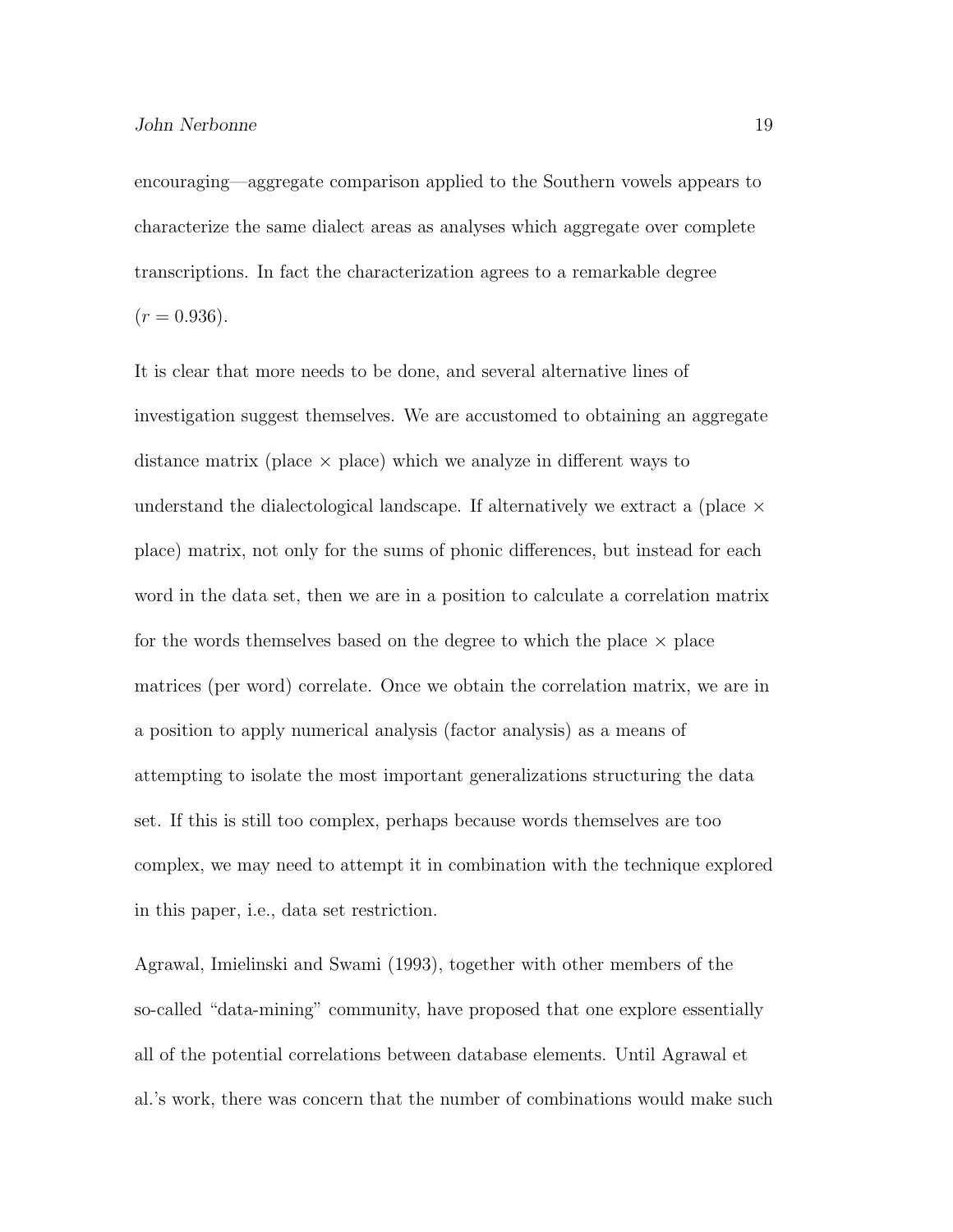encouraging—aggregate comparison applied to the Southern vowels appears to characterize the same dialect areas as analyses which aggregate over complete transcriptions. In fact the characterization agrees to a remarkable degree  $(r = 0.936).$ 

It is clear that more needs to be done, and several alternative lines of investigation suggest themselves. We are accustomed to obtaining an aggregate distance matrix (place  $\times$  place) which we analyze in different ways to understand the dialectological landscape. If alternatively we extract a (place  $\times$ place) matrix, not only for the sums of phonic differences, but instead for each word in the data set, then we are in a position to calculate a correlation matrix for the words themselves based on the degree to which the place  $\times$  place matrices (per word) correlate. Once we obtain the correlation matrix, we are in a position to apply numerical analysis (factor analysis) as a means of attempting to isolate the most important generalizations structuring the data set. If this is still too complex, perhaps because words themselves are too complex, we may need to attempt it in combination with the technique explored in this paper, i.e., data set restriction.

Agrawal, Imielinski and Swami (1993), together with other members of the so-called "data-mining" community, have proposed that one explore essentially all of the potential correlations between database elements. Until Agrawal et al.'s work, there was concern that the number of combinations would make such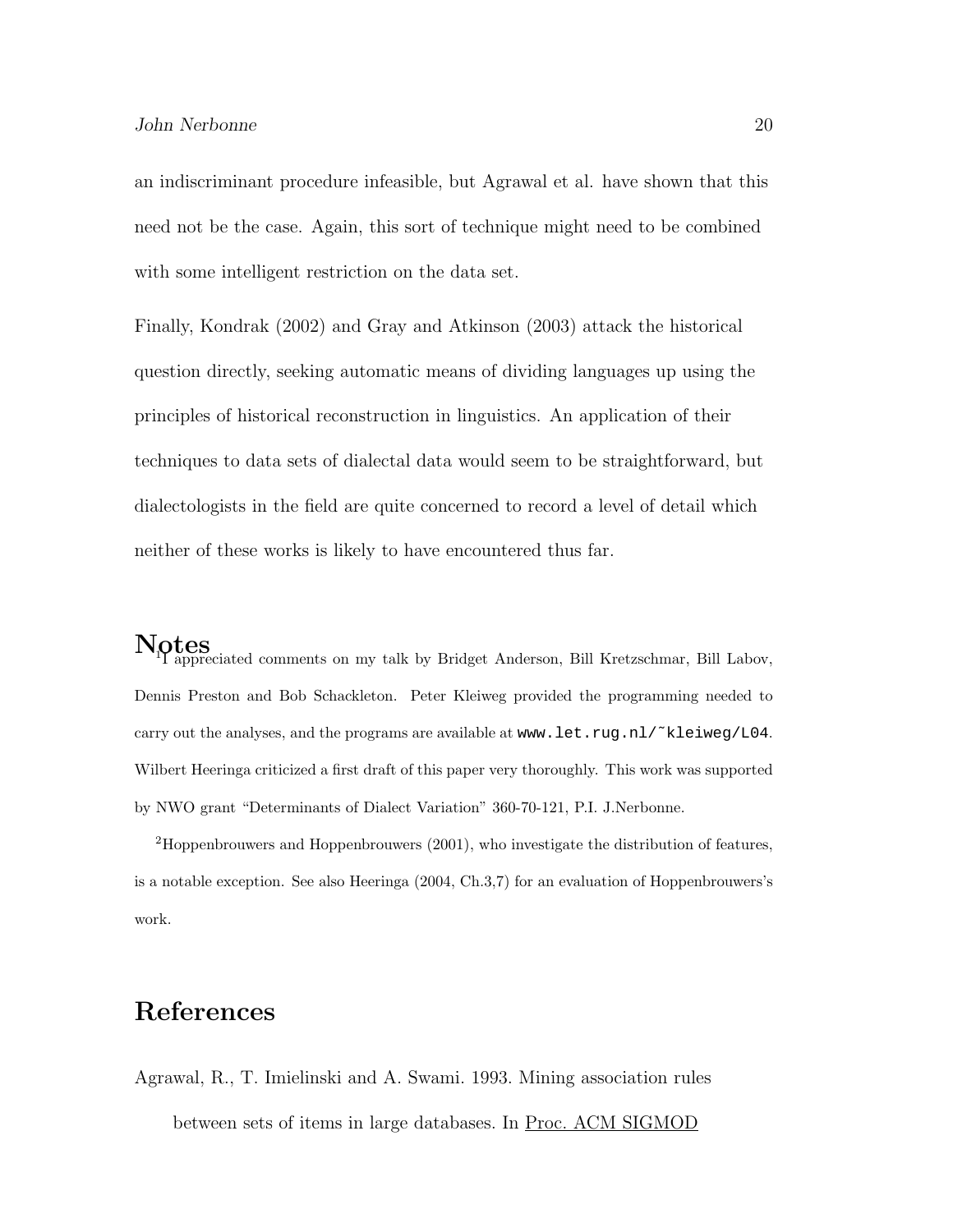an indiscriminant procedure infeasible, but Agrawal et al. have shown that this need not be the case. Again, this sort of technique might need to be combined with some intelligent restriction on the data set.

Finally, Kondrak (2002) and Gray and Atkinson (2003) attack the historical question directly, seeking automatic means of dividing languages up using the principles of historical reconstruction in linguistics. An application of their techniques to data sets of dialectal data would seem to be straightforward, but dialectologists in the field are quite concerned to record a level of detail which neither of these works is likely to have encountered thus far.

Notes<br>1 appreciated comments on my talk by Bridget Anderson, Bill Kretzschmar, Bill Labov, Dennis Preston and Bob Schackleton. Peter Kleiweg provided the programming needed to carry out the analyses, and the programs are available at www.let.rug.nl/~kleiweg/L04. Wilbert Heeringa criticized a first draft of this paper very thoroughly. This work was supported by NWO grant "Determinants of Dialect Variation" 360-70-121, P.I. J.Nerbonne.

<sup>2</sup>Hoppenbrouwers and Hoppenbrouwers (2001), who investigate the distribution of features, is a notable exception. See also Heeringa (2004, Ch.3,7) for an evaluation of Hoppenbrouwers's work.

### References

Agrawal, R., T. Imielinski and A. Swami. 1993. Mining association rules between sets of items in large databases. In Proc. ACM SIGMOD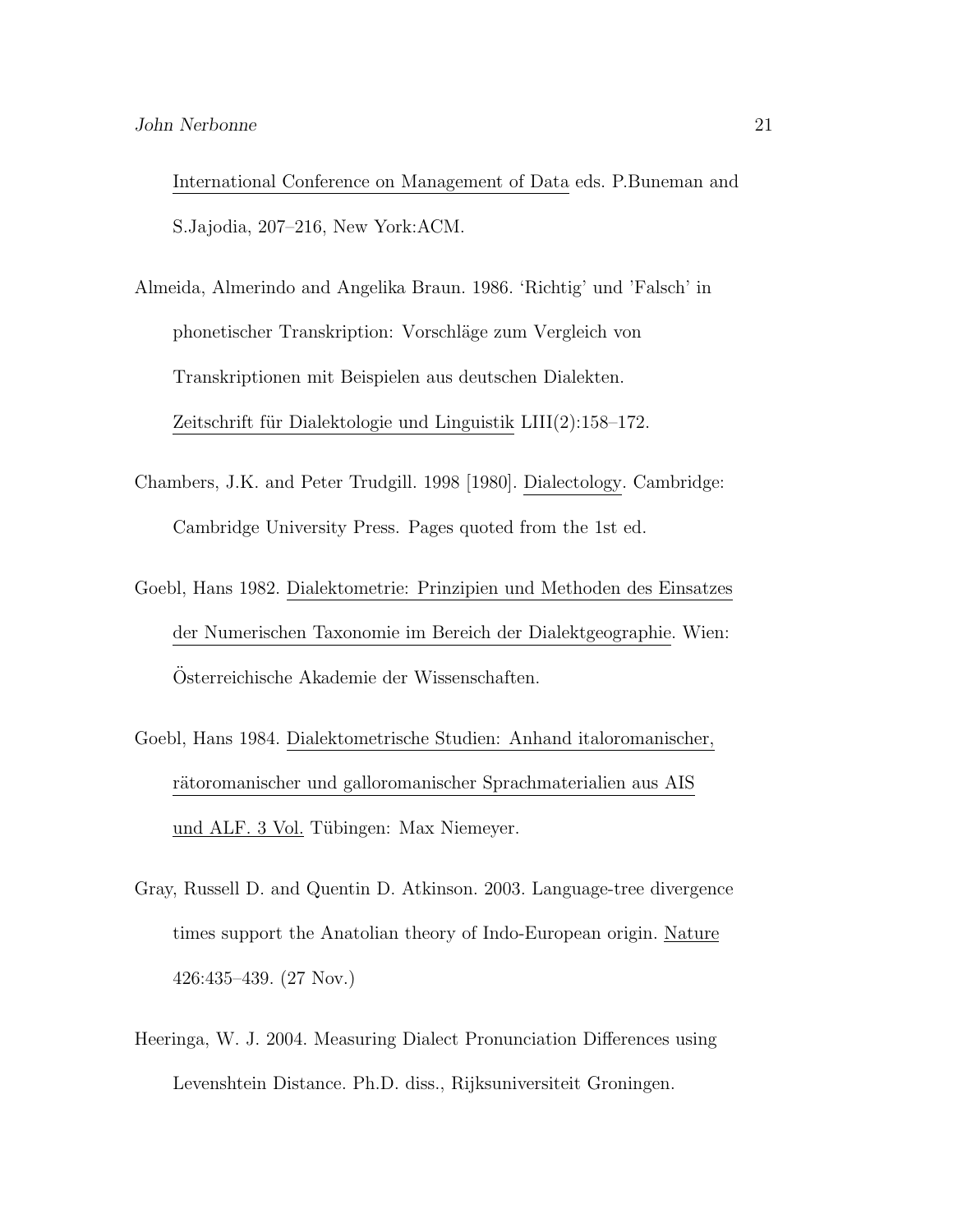International Conference on Management of Data eds. P.Buneman and S.Jajodia, 207–216, New York:ACM.

Almeida, Almerindo and Angelika Braun. 1986. 'Richtig' und 'Falsch' in phonetischer Transkription: Vorschl¨age zum Vergleich von Transkriptionen mit Beispielen aus deutschen Dialekten. Zeitschrift für Dialektologie und Linguistik  $LIII(2):158-172$ .

- Chambers, J.K. and Peter Trudgill. 1998 [1980]. Dialectology. Cambridge: Cambridge University Press. Pages quoted from the 1st ed.
- Goebl, Hans 1982. Dialektometrie: Prinzipien und Methoden des Einsatzes der Numerischen Taxonomie im Bereich der Dialektgeographie. Wien: Osterreichische Akademie der Wissenschaften. ¨
- Goebl, Hans 1984. Dialektometrische Studien: Anhand italoromanischer, rätoromanischer und galloromanischer Sprachmaterialien aus AIS und ALF. 3 Vol. Tübingen: Max Niemeyer.
- Gray, Russell D. and Quentin D. Atkinson. 2003. Language-tree divergence times support the Anatolian theory of Indo-European origin. Nature 426:435–439. (27 Nov.)
- Heeringa, W. J. 2004. Measuring Dialect Pronunciation Differences using Levenshtein Distance. Ph.D. diss., Rijksuniversiteit Groningen.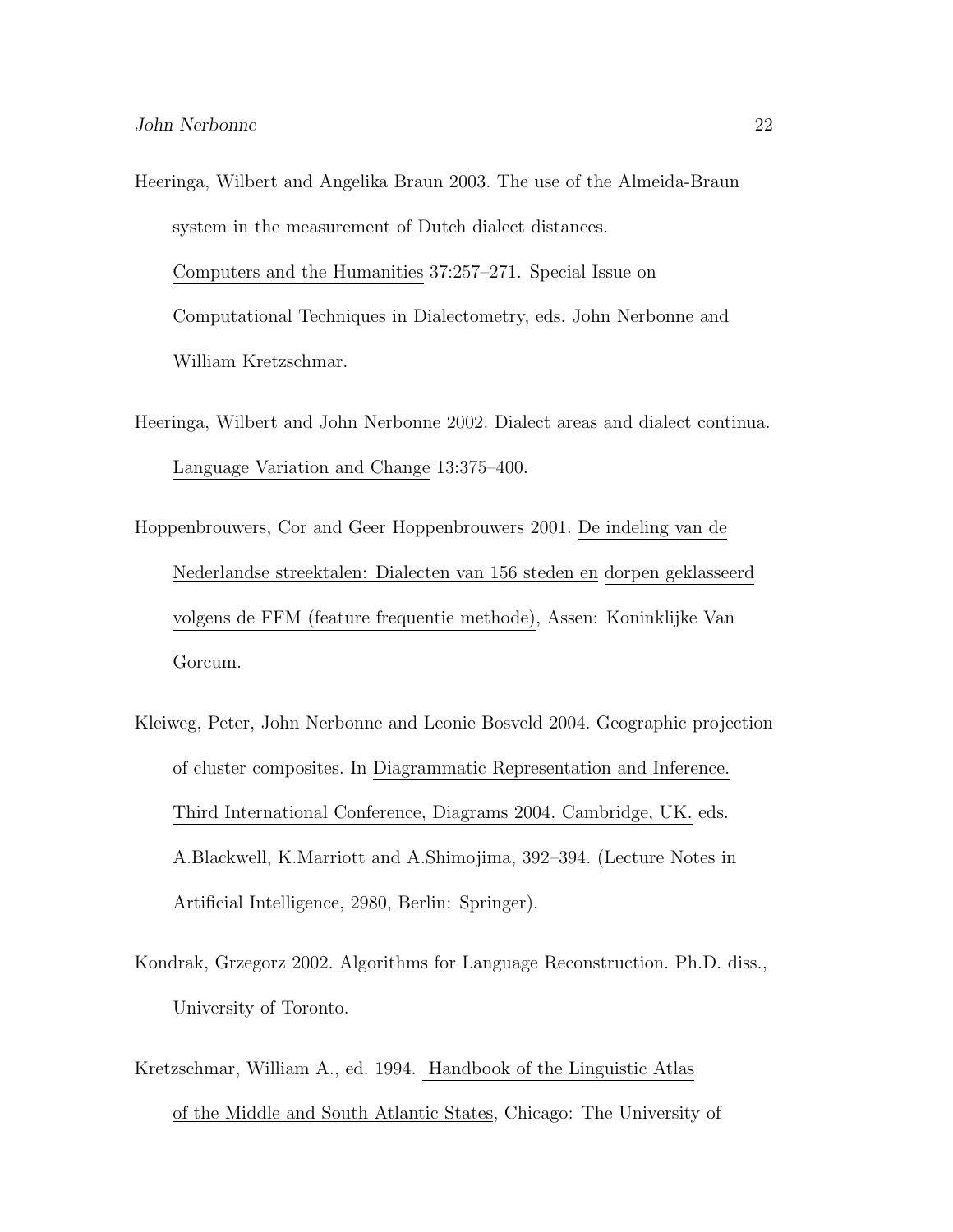- Heeringa, Wilbert and Angelika Braun 2003. The use of the Almeida-Braun system in the measurement of Dutch dialect distances. Computers and the Humanities 37:257–271. Special Issue on Computational Techniques in Dialectometry, eds. John Nerbonne and William Kretzschmar.
- Heeringa, Wilbert and John Nerbonne 2002. Dialect areas and dialect continua. Language Variation and Change 13:375–400.
- Hoppenbrouwers, Cor and Geer Hoppenbrouwers 2001. De indeling van de Nederlandse streektalen: Dialecten van 156 steden en dorpen geklasseerd volgens de FFM (feature frequentie methode), Assen: Koninklijke Van Gorcum.
- Kleiweg, Peter, John Nerbonne and Leonie Bosveld 2004. Geographic projection of cluster composites. In Diagrammatic Representation and Inference. Third International Conference, Diagrams 2004. Cambridge, UK. eds. A.Blackwell, K.Marriott and A.Shimojima, 392–394. (Lecture Notes in Artificial Intelligence, 2980, Berlin: Springer).
- Kondrak, Grzegorz 2002. Algorithms for Language Reconstruction. Ph.D. diss., University of Toronto.
- Kretzschmar, William A., ed. 1994. Handbook of the Linguistic Atlas of the Middle and South Atlantic States, Chicago: The University of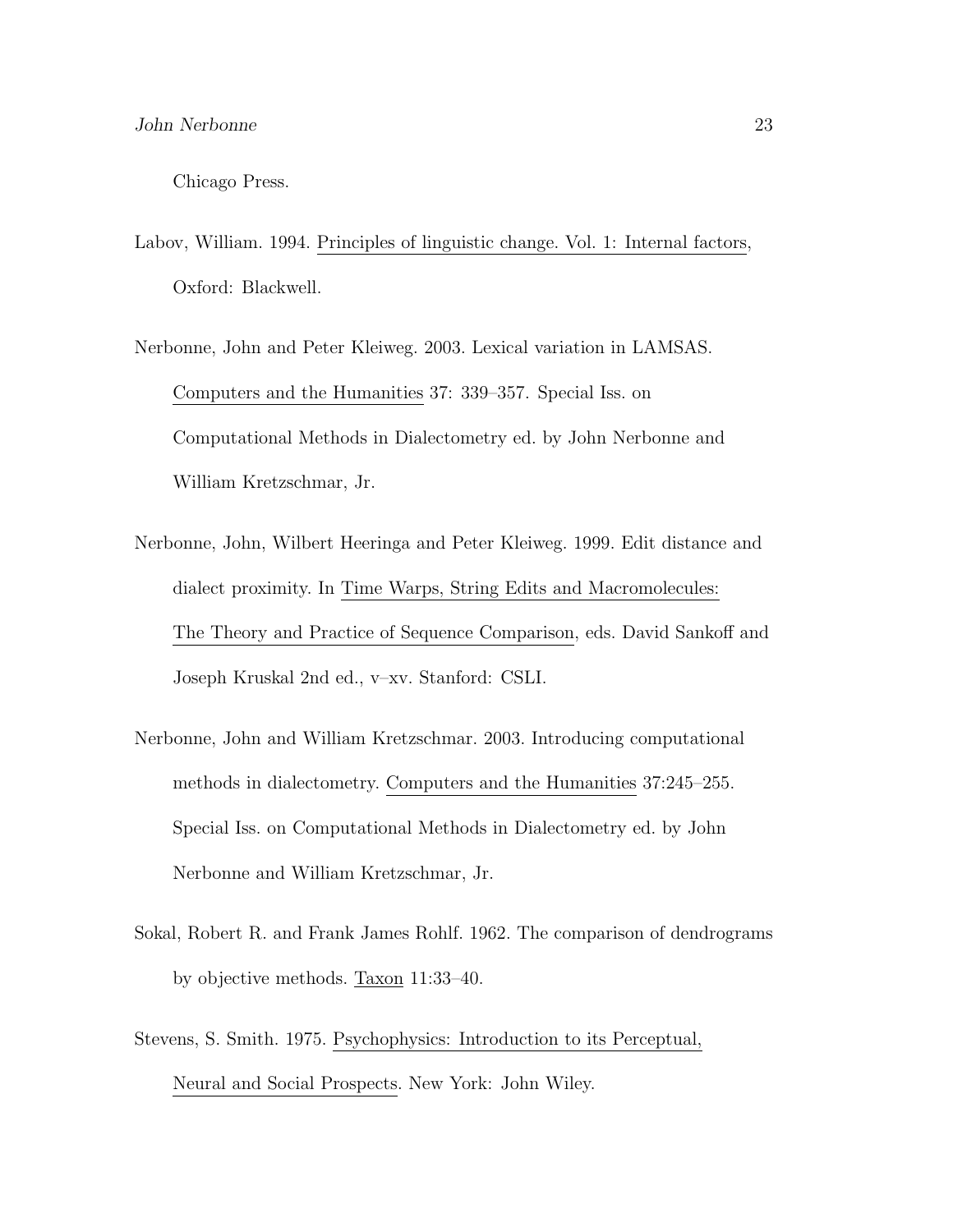Chicago Press.

- Labov, William. 1994. Principles of linguistic change. Vol. 1: Internal factors, Oxford: Blackwell.
- Nerbonne, John and Peter Kleiweg. 2003. Lexical variation in LAMSAS. Computers and the Humanities 37: 339–357. Special Iss. on Computational Methods in Dialectometry ed. by John Nerbonne and William Kretzschmar, Jr.
- Nerbonne, John, Wilbert Heeringa and Peter Kleiweg. 1999. Edit distance and dialect proximity. In Time Warps, String Edits and Macromolecules: The Theory and Practice of Sequence Comparison, eds. David Sankoff and Joseph Kruskal 2nd ed., v–xv. Stanford: CSLI.
- Nerbonne, John and William Kretzschmar. 2003. Introducing computational methods in dialectometry. Computers and the Humanities 37:245–255. Special Iss. on Computational Methods in Dialectometry ed. by John Nerbonne and William Kretzschmar, Jr.
- Sokal, Robert R. and Frank James Rohlf. 1962. The comparison of dendrograms by objective methods. Taxon 11:33–40.
- Stevens, S. Smith. 1975. Psychophysics: Introduction to its Perceptual, Neural and Social Prospects. New York: John Wiley.